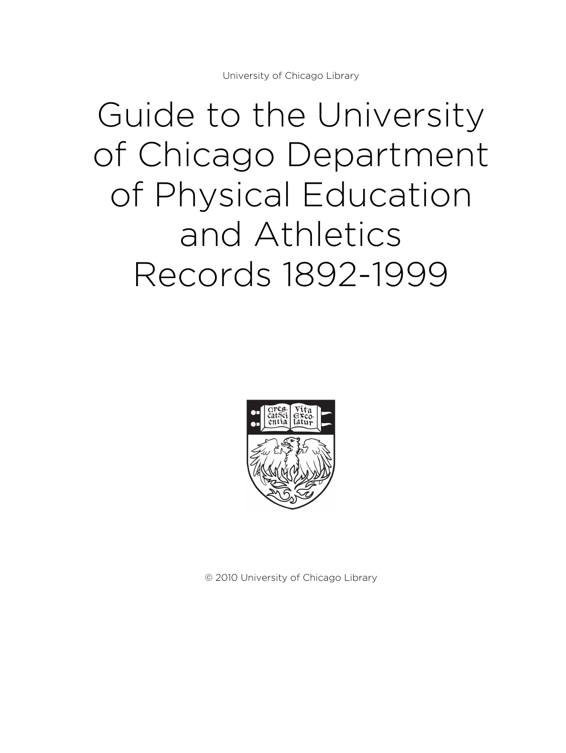# Guide to the University of Chicago Department of Physical Education and Athletics Records 1892-1999



© 2010 University of Chicago Library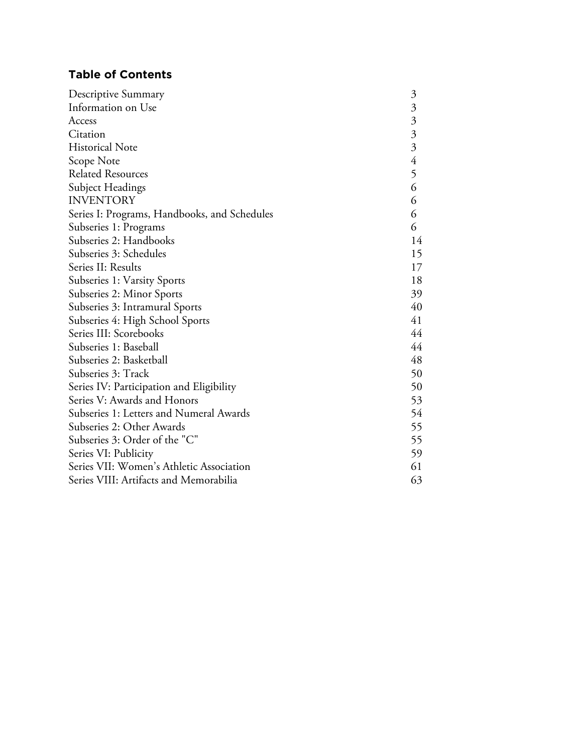# **Table of Contents**

| Descriptive Summary                          | $\mathfrak{Z}$          |
|----------------------------------------------|-------------------------|
| Information on Use                           | $\mathfrak{Z}$          |
| Access                                       | $\mathfrak{Z}$          |
| Citation                                     | $\overline{\mathbf{3}}$ |
| <b>Historical Note</b>                       | $\overline{3}$          |
| Scope Note                                   | $\overline{4}$          |
| <b>Related Resources</b>                     | 5                       |
| Subject Headings                             | 6                       |
| <b>INVENTORY</b>                             | 6                       |
| Series I: Programs, Handbooks, and Schedules | 6                       |
| Subseries 1: Programs                        | 6                       |
| Subseries 2: Handbooks                       | 14                      |
| Subseries 3: Schedules                       | 15                      |
| Series II: Results                           | 17                      |
| Subseries 1: Varsity Sports                  | 18                      |
| Subseries 2: Minor Sports                    | 39                      |
| Subseries 3: Intramural Sports               | 40                      |
| Subseries 4: High School Sports              | 41                      |
| Series III: Scorebooks                       | 44                      |
| Subseries 1: Baseball                        | 44                      |
| Subseries 2: Basketball                      | 48                      |
| Subseries 3: Track                           | 50                      |
| Series IV: Participation and Eligibility     | 50                      |
| Series V: Awards and Honors                  | 53                      |
| Subseries 1: Letters and Numeral Awards      | 54                      |
| Subseries 2: Other Awards                    | 55                      |
| Subseries 3: Order of the "C"                | 55                      |
| Series VI: Publicity                         | 59                      |
| Series VII: Women's Athletic Association     | 61                      |
| Series VIII: Artifacts and Memorabilia       | 63                      |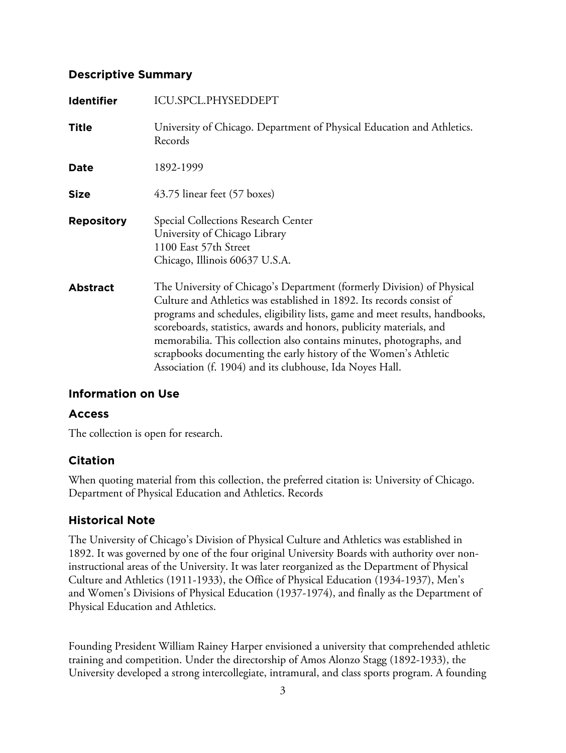## **Descriptive Summary**

| <b>Identifier</b> | ICU.SPCL.PHYSEDDEPT                                                                                                                                                                                                                                                                                                                                                                                                                                                                                             |
|-------------------|-----------------------------------------------------------------------------------------------------------------------------------------------------------------------------------------------------------------------------------------------------------------------------------------------------------------------------------------------------------------------------------------------------------------------------------------------------------------------------------------------------------------|
| <b>Title</b>      | University of Chicago. Department of Physical Education and Athletics.<br>Records                                                                                                                                                                                                                                                                                                                                                                                                                               |
| Date              | 1892-1999                                                                                                                                                                                                                                                                                                                                                                                                                                                                                                       |
| <b>Size</b>       | 43.75 linear feet (57 boxes)                                                                                                                                                                                                                                                                                                                                                                                                                                                                                    |
| <b>Repository</b> | Special Collections Research Center<br>University of Chicago Library<br>1100 East 57th Street<br>Chicago, Illinois 60637 U.S.A.                                                                                                                                                                                                                                                                                                                                                                                 |
| <b>Abstract</b>   | The University of Chicago's Department (formerly Division) of Physical<br>Culture and Athletics was established in 1892. Its records consist of<br>programs and schedules, eligibility lists, game and meet results, handbooks,<br>scoreboards, statistics, awards and honors, publicity materials, and<br>memorabilia. This collection also contains minutes, photographs, and<br>scrapbooks documenting the early history of the Women's Athletic<br>Association (f. 1904) and its clubhouse, Ida Noyes Hall. |

## **Information on Use**

## **Access**

The collection is open for research.

## **Citation**

When quoting material from this collection, the preferred citation is: University of Chicago. Department of Physical Education and Athletics. Records

# **Historical Note**

The University of Chicago's Division of Physical Culture and Athletics was established in 1892. It was governed by one of the four original University Boards with authority over noninstructional areas of the University. It was later reorganized as the Department of Physical Culture and Athletics (1911-1933), the Office of Physical Education (1934-1937), Men's and Women's Divisions of Physical Education (1937-1974), and finally as the Department of Physical Education and Athletics.

Founding President William Rainey Harper envisioned a university that comprehended athletic training and competition. Under the directorship of Amos Alonzo Stagg (1892-1933), the University developed a strong intercollegiate, intramural, and class sports program. A founding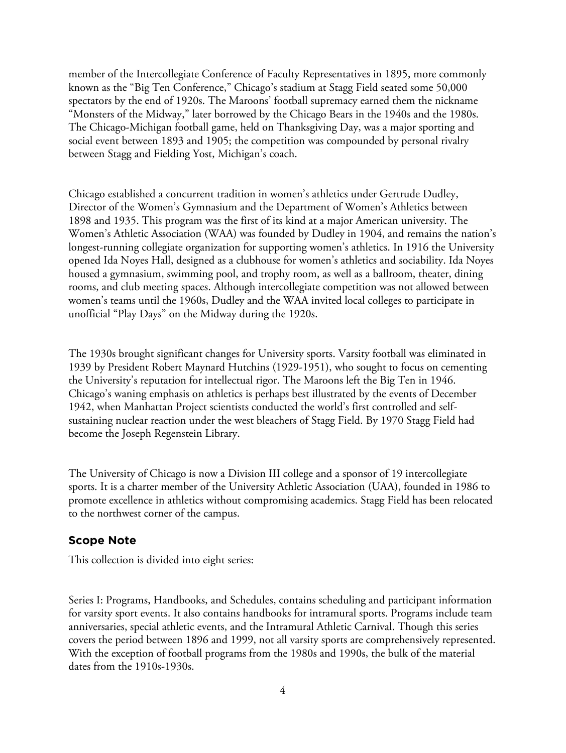member of the Intercollegiate Conference of Faculty Representatives in 1895, more commonly known as the "Big Ten Conference," Chicago's stadium at Stagg Field seated some 50,000 spectators by the end of 1920s. The Maroons' football supremacy earned them the nickname "Monsters of the Midway," later borrowed by the Chicago Bears in the 1940s and the 1980s. The Chicago-Michigan football game, held on Thanksgiving Day, was a major sporting and social event between 1893 and 1905; the competition was compounded by personal rivalry between Stagg and Fielding Yost, Michigan's coach.

Chicago established a concurrent tradition in women's athletics under Gertrude Dudley, Director of the Women's Gymnasium and the Department of Women's Athletics between 1898 and 1935. This program was the first of its kind at a major American university. The Women's Athletic Association (WAA) was founded by Dudley in 1904, and remains the nation's longest-running collegiate organization for supporting women's athletics. In 1916 the University opened Ida Noyes Hall, designed as a clubhouse for women's athletics and sociability. Ida Noyes housed a gymnasium, swimming pool, and trophy room, as well as a ballroom, theater, dining rooms, and club meeting spaces. Although intercollegiate competition was not allowed between women's teams until the 1960s, Dudley and the WAA invited local colleges to participate in unofficial "Play Days" on the Midway during the 1920s.

The 1930s brought significant changes for University sports. Varsity football was eliminated in 1939 by President Robert Maynard Hutchins (1929-1951), who sought to focus on cementing the University's reputation for intellectual rigor. The Maroons left the Big Ten in 1946. Chicago's waning emphasis on athletics is perhaps best illustrated by the events of December 1942, when Manhattan Project scientists conducted the world's first controlled and selfsustaining nuclear reaction under the west bleachers of Stagg Field. By 1970 Stagg Field had become the Joseph Regenstein Library.

The University of Chicago is now a Division III college and a sponsor of 19 intercollegiate sports. It is a charter member of the University Athletic Association (UAA), founded in 1986 to promote excellence in athletics without compromising academics. Stagg Field has been relocated to the northwest corner of the campus.

#### **Scope Note**

This collection is divided into eight series:

Series I: Programs, Handbooks, and Schedules, contains scheduling and participant information for varsity sport events. It also contains handbooks for intramural sports. Programs include team anniversaries, special athletic events, and the Intramural Athletic Carnival. Though this series covers the period between 1896 and 1999, not all varsity sports are comprehensively represented. With the exception of football programs from the 1980s and 1990s, the bulk of the material dates from the 1910s-1930s.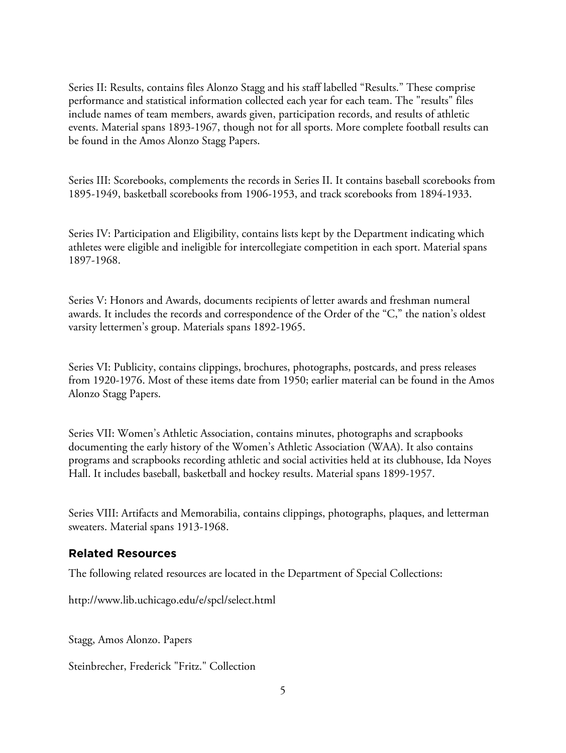Series II: Results, contains files Alonzo Stagg and his staff labelled "Results." These comprise performance and statistical information collected each year for each team. The "results" files include names of team members, awards given, participation records, and results of athletic events. Material spans 1893-1967, though not for all sports. More complete football results can be found in the Amos Alonzo Stagg Papers.

Series III: Scorebooks, complements the records in Series II. It contains baseball scorebooks from 1895-1949, basketball scorebooks from 1906-1953, and track scorebooks from 1894-1933.

Series IV: Participation and Eligibility, contains lists kept by the Department indicating which athletes were eligible and ineligible for intercollegiate competition in each sport. Material spans 1897-1968.

Series V: Honors and Awards, documents recipients of letter awards and freshman numeral awards. It includes the records and correspondence of the Order of the "C," the nation's oldest varsity lettermen's group. Materials spans 1892-1965.

Series VI: Publicity, contains clippings, brochures, photographs, postcards, and press releases from 1920-1976. Most of these items date from 1950; earlier material can be found in the Amos Alonzo Stagg Papers.

Series VII: Women's Athletic Association, contains minutes, photographs and scrapbooks documenting the early history of the Women's Athletic Association (WAA). It also contains programs and scrapbooks recording athletic and social activities held at its clubhouse, Ida Noyes Hall. It includes baseball, basketball and hockey results. Material spans 1899-1957.

Series VIII: Artifacts and Memorabilia, contains clippings, photographs, plaques, and letterman sweaters. Material spans 1913-1968.

## **Related Resources**

The following related resources are located in the Department of Special Collections:

http://www.lib.uchicago.edu/e/spcl/select.html

Stagg, Amos Alonzo. Papers

Steinbrecher, Frederick "Fritz." Collection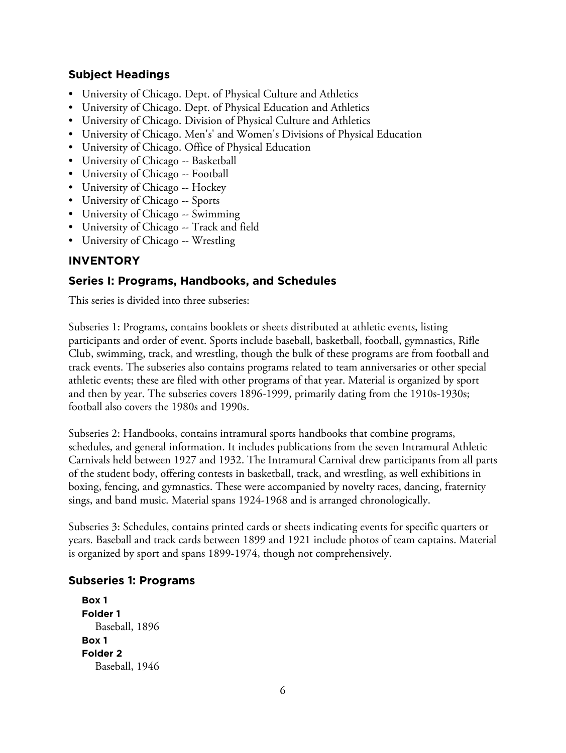## **Subject Headings**

- University of Chicago. Dept. of Physical Culture and Athletics
- University of Chicago. Dept. of Physical Education and Athletics
- University of Chicago. Division of Physical Culture and Athletics
- University of Chicago. Men's' and Women's Divisions of Physical Education
- University of Chicago. Office of Physical Education
- University of Chicago -- Basketball
- University of Chicago -- Football
- University of Chicago -- Hockey
- University of Chicago -- Sports
- University of Chicago -- Swimming
- University of Chicago -- Track and field
- University of Chicago -- Wrestling

# **INVENTORY**

# **Series I: Programs, Handbooks, and Schedules**

This series is divided into three subseries:

Subseries 1: Programs, contains booklets or sheets distributed at athletic events, listing participants and order of event. Sports include baseball, basketball, football, gymnastics, Rifle Club, swimming, track, and wrestling, though the bulk of these programs are from football and track events. The subseries also contains programs related to team anniversaries or other special athletic events; these are filed with other programs of that year. Material is organized by sport and then by year. The subseries covers 1896-1999, primarily dating from the 1910s-1930s; football also covers the 1980s and 1990s.

Subseries 2: Handbooks, contains intramural sports handbooks that combine programs, schedules, and general information. It includes publications from the seven Intramural Athletic Carnivals held between 1927 and 1932. The Intramural Carnival drew participants from all parts of the student body, offering contests in basketball, track, and wrestling, as well exhibitions in boxing, fencing, and gymnastics. These were accompanied by novelty races, dancing, fraternity sings, and band music. Material spans 1924-1968 and is arranged chronologically.

Subseries 3: Schedules, contains printed cards or sheets indicating events for specific quarters or years. Baseball and track cards between 1899 and 1921 include photos of team captains. Material is organized by sport and spans 1899-1974, though not comprehensively.

## **Subseries 1: Programs**

**Box 1 Folder 1** Baseball, 1896 **Box 1 Folder 2** Baseball, 1946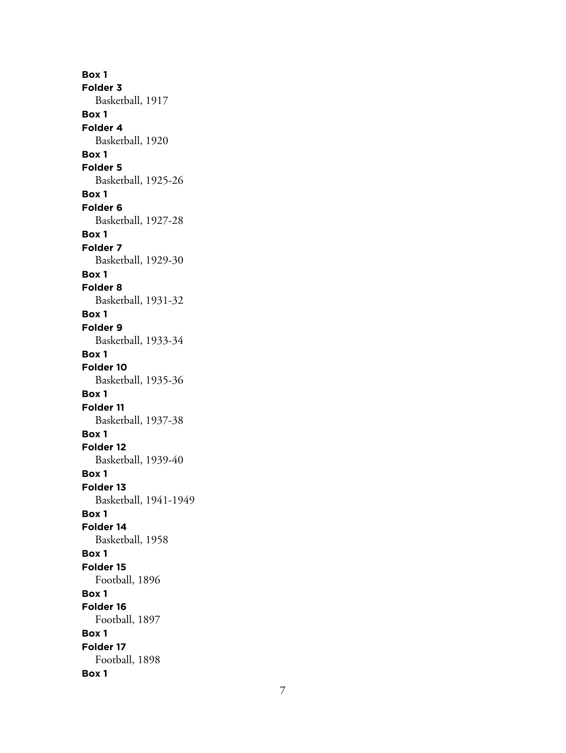**Box 1 Folder 3** Basketball, 1917 **Box 1 Folder 4** Basketball, 1920 **Box 1 Folder 5** Basketball, 1925-26 **Box 1 Folder 6** Basketball, 1927-28 **Box 1 Folder 7** Basketball, 1929-30 **Box 1 Folder 8** Basketball, 1931-32 **Box 1 Folder 9** Basketball, 1933-34 **Box 1 Folder 10** Basketball, 1935-36 **Box 1 Folder 11** Basketball, 1937-38 **Box 1 Folder 12** Basketball, 1939-40 **Box 1 Folder 13** Basketball, 1941-1949 **Box 1 Folder 14** Basketball, 1958 **Box 1 Folder 15** Football, 1896 **Box 1 Folder 16** Football, 1897 **Box 1 Folder 17** Football, 1898 **Box 1**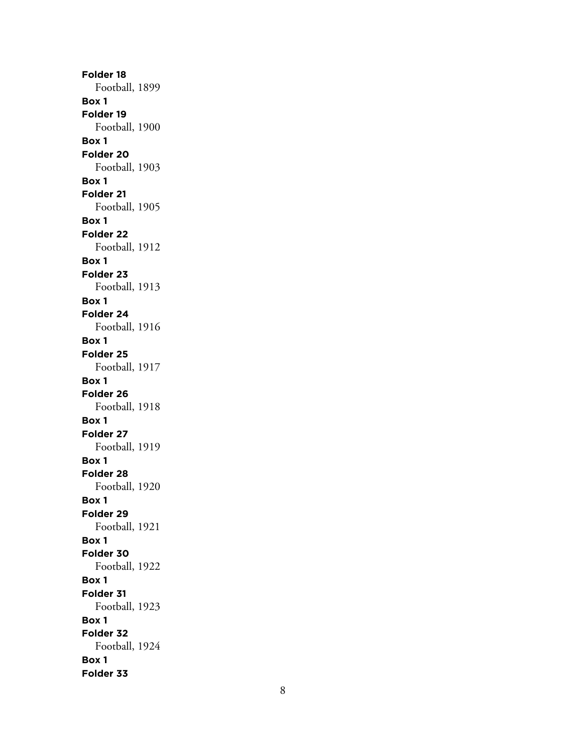**Folder 18** Football, 1899 **Box 1 Folder 19** Football, 1900 **Box 1 Folder 20** Football, 1903 **Box 1 Folder 21** Football, 1905 **Box 1 Folder 22** Football, 1912 **Box 1 Folder 23** Football, 1913 **Box 1 Folder 24** Football, 1916 **Box 1 Folder 25** Football, 1917 **Box 1 Folder 26** Football, 1918 **Box 1 Folder 27** Football, 1919 **Box 1 Folder 28** Football, 1920 **Box 1 Folder 29** Football, 1921 **Box 1 Folder 30** Football, 1922 **Box 1 Folder 31** Football, 1923 **Box 1 Folder 32** Football, 1924 **Box 1 Folder 33**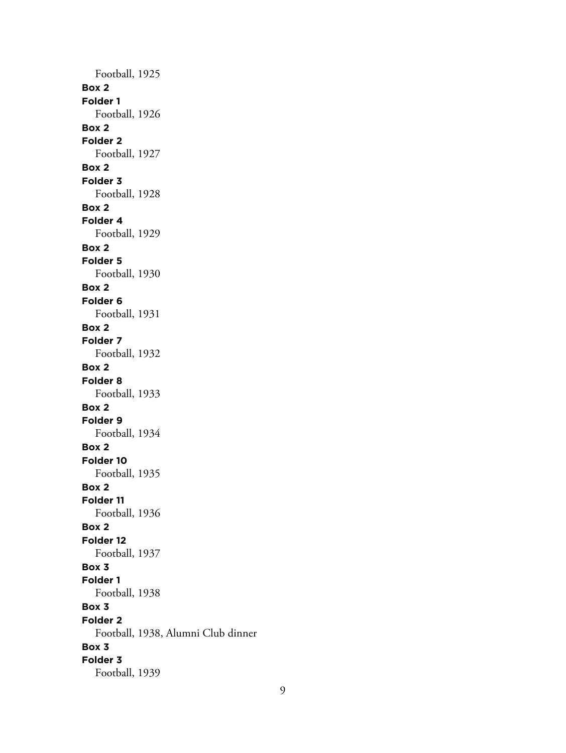Football, 1925 **Box 2 Folder 1** Football, 1926 **Box 2 Folder 2** Football, 1927 **Box 2 Folder 3** Football, 1928 **Box 2 Folder 4** Football, 1929 **Box 2 Folder 5** Football, 1930 **Box 2 Folder 6** Football, 1931 **Box 2 Folder 7** Football, 1932 **Box 2 Folder 8** Football, 1933 **Box 2 Folder 9** Football, 1934 **Box 2 Folder 10** Football, 1935 **Box 2 Folder 11** Football, 1936 **Box 2 Folder 12** Football, 1937 **Box 3 Folder 1** Football, 1938 **Box 3 Folder 2** Football, 1938, Alumni Club dinner **Box 3 Folder 3** Football, 1939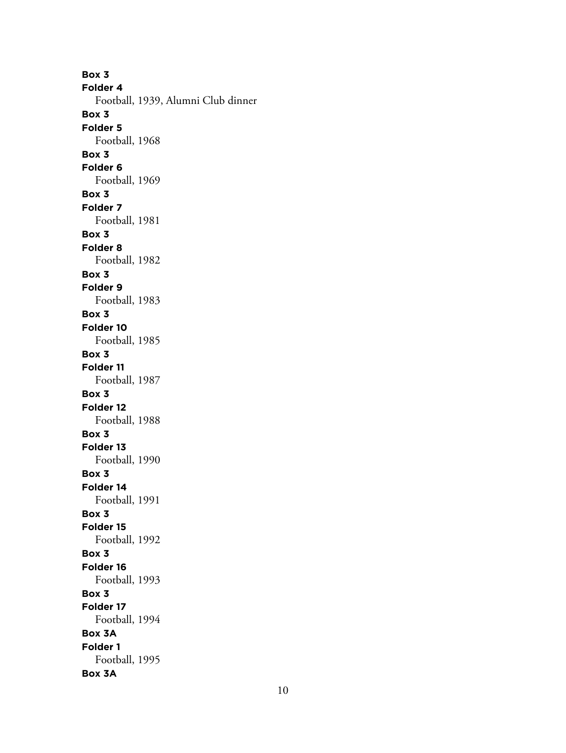**Box 3 Folder 4** Football, 1939, Alumni Club dinner **Box 3 Folder 5** Football, 1968 **Box 3 Folder 6** Football, 1969 **Box 3 Folder 7** Football, 1981 **Box 3 Folder 8** Football, 1982 **Box 3 Folder 9** Football, 1983 **Box 3 Folder 10** Football, 1985 **Box 3 Folder 11** Football, 1987 **Box 3 Folder 12** Football, 1988 **Box 3 Folder 13** Football, 1990 **Box 3 Folder 14** Football, 1991 **Box 3 Folder 15** Football, 1992 **Box 3 Folder 16** Football, 1993 **Box 3 Folder 17** Football, 1994 **Box 3A Folder 1** Football, 1995 **Box 3A**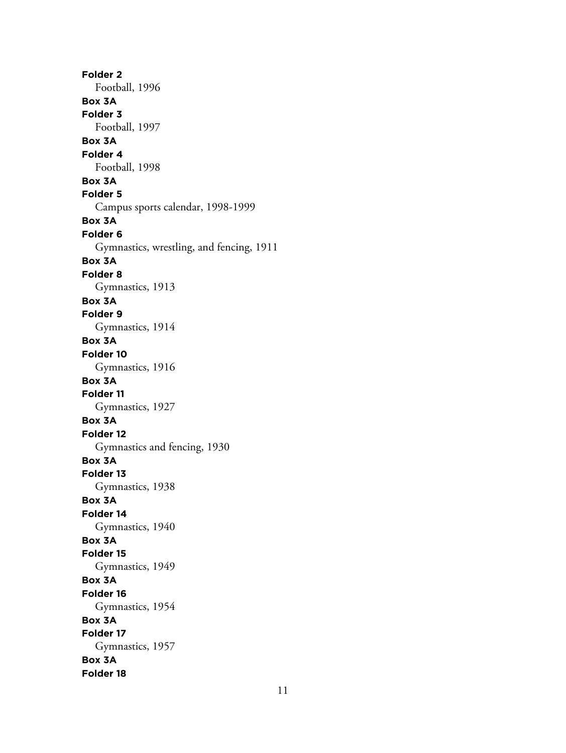**Folder 2** Football, 1996 **Box 3A Folder 3** Football, 1997 **Box 3A Folder 4** Football, 1998 **Box 3A Folder 5** Campus sports calendar, 1998-1999 **Box 3A Folder 6** Gymnastics, wrestling, and fencing, 1911 **Box 3A Folder 8** Gymnastics, 1913 **Box 3A Folder 9** Gymnastics, 1914 **Box 3A Folder 10** Gymnastics, 1916 **Box 3A Folder 11** Gymnastics, 1927 **Box 3A Folder 12** Gymnastics and fencing, 1930 **Box 3A Folder 13** Gymnastics, 1938 **Box 3A Folder 14** Gymnastics, 1940 **Box 3A Folder 15** Gymnastics, 1949 **Box 3A Folder 16** Gymnastics, 1954 **Box 3A Folder 17** Gymnastics, 1957 **Box 3A Folder 18**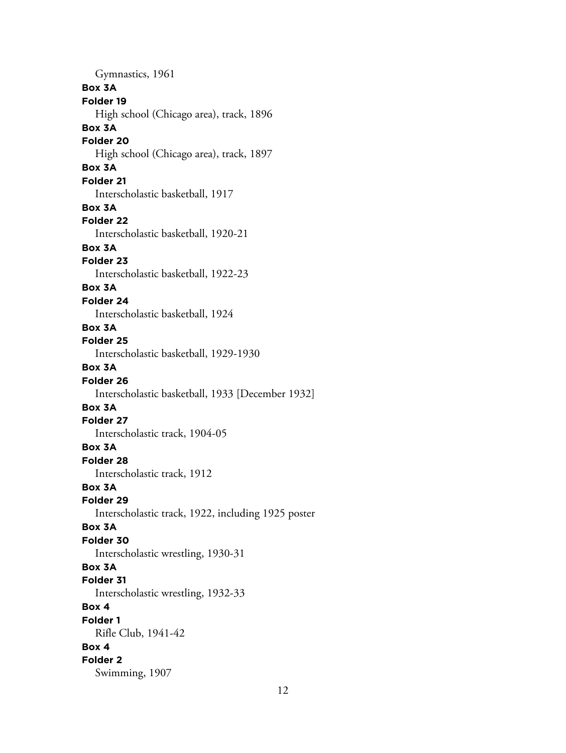Gymnastics, 1961 **Box 3A Folder 19** High school (Chicago area), track, 1896 **Box 3A Folder 20** High school (Chicago area), track, 1897 **Box 3A Folder 21** Interscholastic basketball, 1917 **Box 3A Folder 22** Interscholastic basketball, 1920-21 **Box 3A Folder 23** Interscholastic basketball, 1922-23 **Box 3A Folder 24** Interscholastic basketball, 1924 **Box 3A Folder 25** Interscholastic basketball, 1929-1930 **Box 3A Folder 26** Interscholastic basketball, 1933 [December 1932] **Box 3A Folder 27** Interscholastic track, 1904-05 **Box 3A Folder 28** Interscholastic track, 1912 **Box 3A Folder 29** Interscholastic track, 1922, including 1925 poster **Box 3A Folder 30** Interscholastic wrestling, 1930-31 **Box 3A Folder 31** Interscholastic wrestling, 1932-33 **Box 4 Folder 1** Rifle Club, 1941-42 **Box 4 Folder 2** Swimming, 1907

12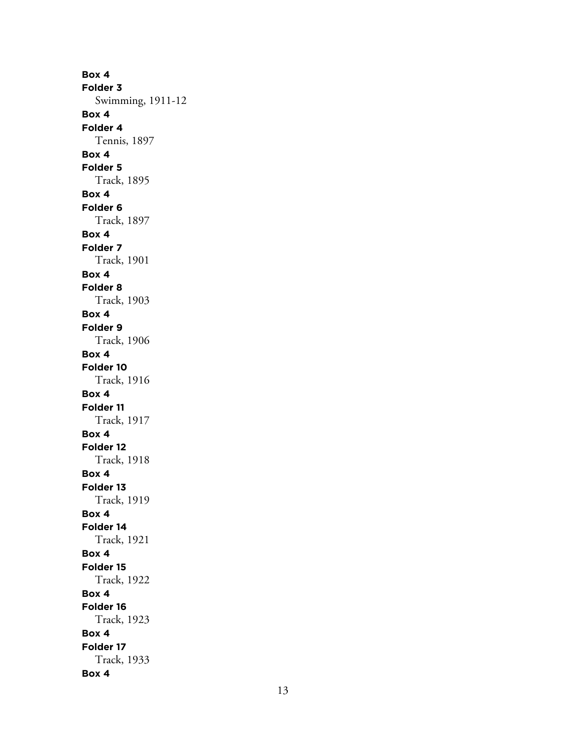**Box 4 Folder 3** Swimming, 1911-12 **Box 4 Folder 4** Tennis, 1897 **Box 4 Folder 5** Track, 1895 **Box 4 Folder 6** Track, 1897 **Box 4 Folder 7** Track, 1901 **Box 4 Folder 8** Track, 1903 **Box 4 Folder 9** Track, 1906 **Box 4 Folder 10** Track, 1916 **Box 4 Folder 11** Track, 1917 **Box 4 Folder 12** Track, 1918 **Box 4 Folder 13** Track, 1919 **Box 4 Folder 14** Track, 1921 **Box 4 Folder 15** Track, 1922 **Box 4 Folder 16** Track, 1923 **Box 4 Folder 17** Track, 1933 **Box 4**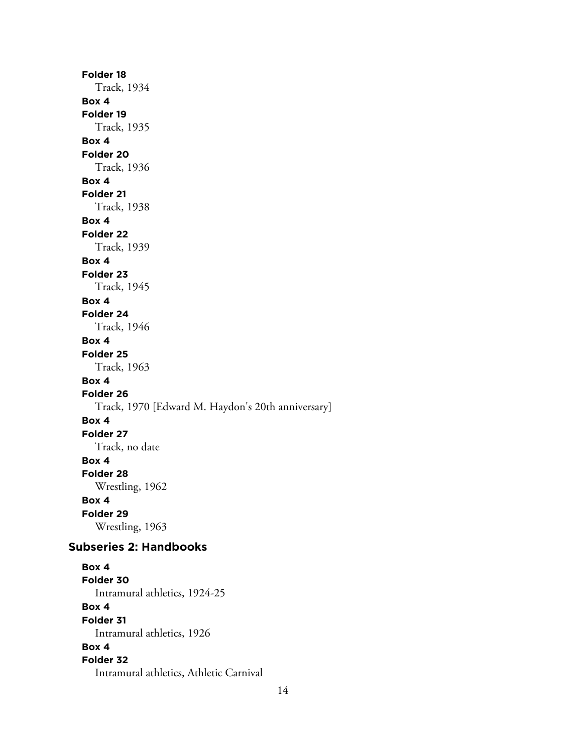**Folder 18** Track, 1934 **Box 4 Folder 19** Track, 1935 **Box 4 Folder 20** Track, 1936 **Box 4 Folder 21** Track, 1938 **Box 4 Folder 22** Track, 1939 **Box 4 Folder 23** Track, 1945 **Box 4 Folder 24** Track, 1946 **Box 4 Folder 25** Track, 1963 **Box 4 Folder 26** Track, 1970 [Edward M. Haydon's 20th anniversary] **Box 4 Folder 27** Track, no date **Box 4 Folder 28** Wrestling, 1962 **Box 4 Folder 29** Wrestling, 1963 **Subseries 2: Handbooks Box 4 Folder 30** Intramural athletics, 1924-25 **Box 4 Folder 31** Intramural athletics, 1926 **Box 4 Folder 32** Intramural athletics, Athletic Carnival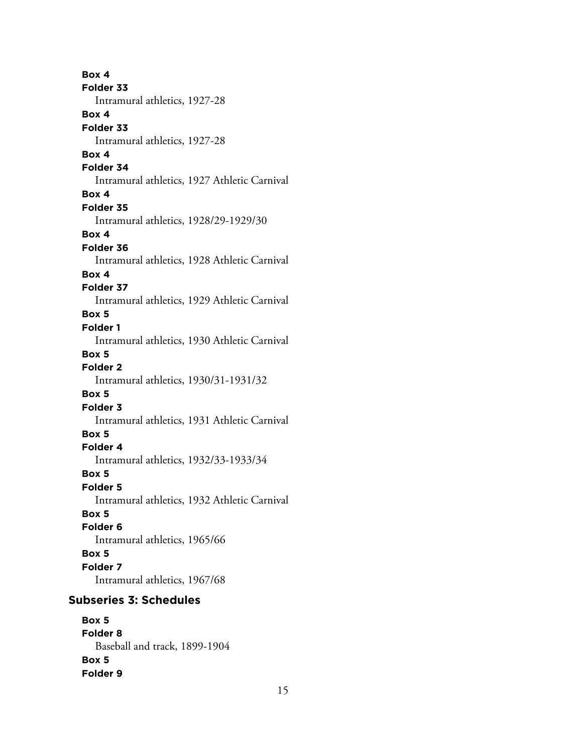**Box 4 Folder 33** Intramural athletics, 1927-28 **Box 4 Folder 33** Intramural athletics, 1927-28 **Box 4 Folder 34** Intramural athletics, 1927 Athletic Carnival **Box 4 Folder 35** Intramural athletics, 1928/29-1929/30 **Box 4 Folder 36** Intramural athletics, 1928 Athletic Carnival **Box 4 Folder 37** Intramural athletics, 1929 Athletic Carnival **Box 5 Folder 1** Intramural athletics, 1930 Athletic Carnival **Box 5 Folder 2** Intramural athletics, 1930/31-1931/32 **Box 5 Folder 3** Intramural athletics, 1931 Athletic Carnival **Box 5 Folder 4** Intramural athletics, 1932/33-1933/34 **Box 5 Folder 5** Intramural athletics, 1932 Athletic Carnival **Box 5 Folder 6** Intramural athletics, 1965/66 **Box 5 Folder 7** Intramural athletics, 1967/68 **Subseries 3: Schedules**

**Box 5 Folder 8** Baseball and track, 1899-1904 **Box 5 Folder 9**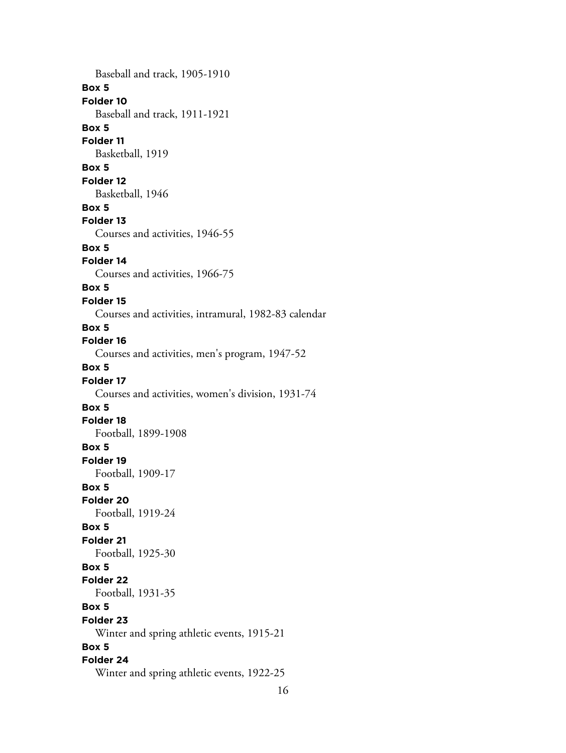Baseball and track, 1905-1910 **Box 5 Folder 10** Baseball and track, 1911-1921 **Box 5 Folder 11** Basketball, 1919 **Box 5 Folder 12** Basketball, 1946 **Box 5 Folder 13** Courses and activities, 1946-55 **Box 5 Folder 14** Courses and activities, 1966-75 **Box 5 Folder 15** Courses and activities, intramural, 1982-83 calendar **Box 5 Folder 16** Courses and activities, men's program, 1947-52 **Box 5 Folder 17** Courses and activities, women's division, 1931-74 **Box 5 Folder 18** Football, 1899-1908 **Box 5 Folder 19** Football, 1909-17 **Box 5 Folder 20** Football, 1919-24 **Box 5 Folder 21** Football, 1925-30 **Box 5 Folder 22** Football, 1931-35 **Box 5 Folder 23** Winter and spring athletic events, 1915-21 **Box 5 Folder 24** Winter and spring athletic events, 1922-25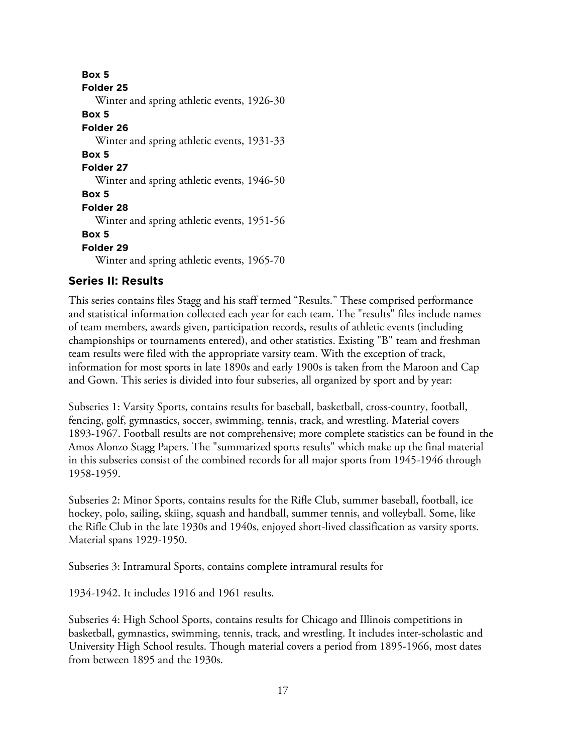**Box 5 Folder 25** Winter and spring athletic events, 1926-30 **Box 5 Folder 26** Winter and spring athletic events, 1931-33 **Box 5 Folder 27** Winter and spring athletic events, 1946-50 **Box 5 Folder 28** Winter and spring athletic events, 1951-56 **Box 5 Folder 29** Winter and spring athletic events, 1965-70

## **Series II: Results**

This series contains files Stagg and his staff termed "Results." These comprised performance and statistical information collected each year for each team. The "results" files include names of team members, awards given, participation records, results of athletic events (including championships or tournaments entered), and other statistics. Existing "B" team and freshman team results were filed with the appropriate varsity team. With the exception of track, information for most sports in late 1890s and early 1900s is taken from the Maroon and Cap and Gown. This series is divided into four subseries, all organized by sport and by year:

Subseries 1: Varsity Sports, contains results for baseball, basketball, cross-country, football, fencing, golf, gymnastics, soccer, swimming, tennis, track, and wrestling. Material covers 1893-1967. Football results are not comprehensive; more complete statistics can be found in the Amos Alonzo Stagg Papers. The "summarized sports results" which make up the final material in this subseries consist of the combined records for all major sports from 1945-1946 through 1958-1959.

Subseries 2: Minor Sports, contains results for the Rifle Club, summer baseball, football, ice hockey, polo, sailing, skiing, squash and handball, summer tennis, and volleyball. Some, like the Rifle Club in the late 1930s and 1940s, enjoyed short-lived classification as varsity sports. Material spans 1929-1950.

Subseries 3: Intramural Sports, contains complete intramural results for

1934-1942. It includes 1916 and 1961 results.

Subseries 4: High School Sports, contains results for Chicago and Illinois competitions in basketball, gymnastics, swimming, tennis, track, and wrestling. It includes inter-scholastic and University High School results. Though material covers a period from 1895-1966, most dates from between 1895 and the 1930s.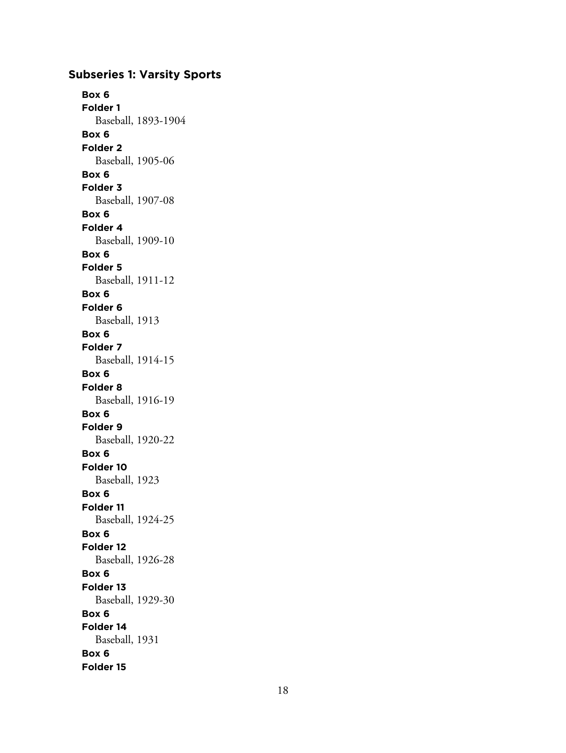# **Subseries 1: Varsity Sports**

**Box 6 Folder 1** Baseball, 1893-1904 **Box 6 Folder 2** Baseball, 1905-06 **Box 6 Folder 3** Baseball, 1907-08 **Box 6 Folder 4** Baseball, 1909-10 **Box 6 Folder 5** Baseball, 1911-12 **Box 6 Folder 6** Baseball, 1913 **Box 6 Folder 7** Baseball, 1914-15 **Box 6 Folder 8** Baseball, 1916-19 **Box 6 Folder 9** Baseball, 1920-22 **Box 6 Folder 10** Baseball, 1923 **Box 6 Folder 11** Baseball, 1924-25 **Box 6 Folder 12** Baseball, 1926-28 **Box 6 Folder 13** Baseball, 1929-30 **Box 6 Folder 14** Baseball, 1931 **Box 6 Folder 15**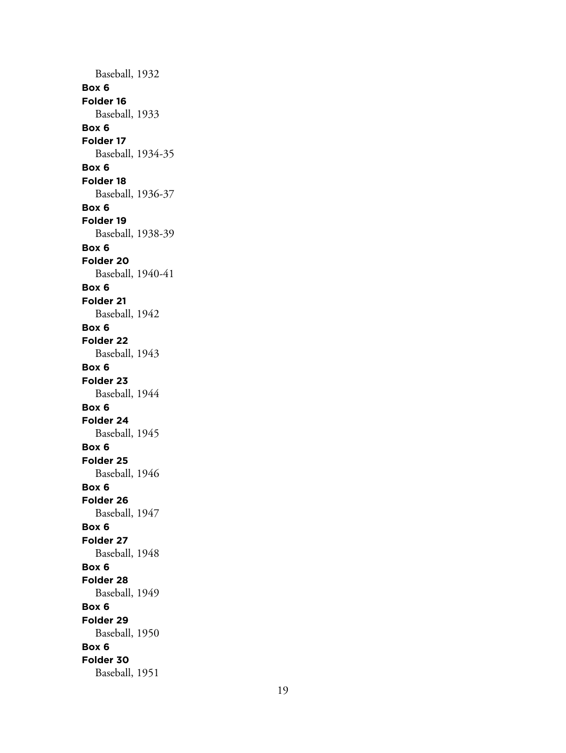Baseball, 1932 **Box 6 Folder 16** Baseball, 1933 **Box 6 Folder 17** Baseball, 1934-35 **Box 6 Folder 18** Baseball, 1936-37 **Box 6 Folder 19** Baseball, 1938-39 **Box 6 Folder 20** Baseball, 1940-41 **Box 6 Folder 21** Baseball, 1942 **Box 6 Folder 22** Baseball, 1943 **Box 6 Folder 23** Baseball, 1944 **Box 6 Folder 24** Baseball, 1945 **Box 6 Folder 25** Baseball, 1946 **Box 6 Folder 26** Baseball, 1947 **Box 6 Folder 27** Baseball, 1948 **Box 6 Folder 28** Baseball, 1949 **Box 6 Folder 29** Baseball, 1950 **Box 6 Folder 30** Baseball, 1951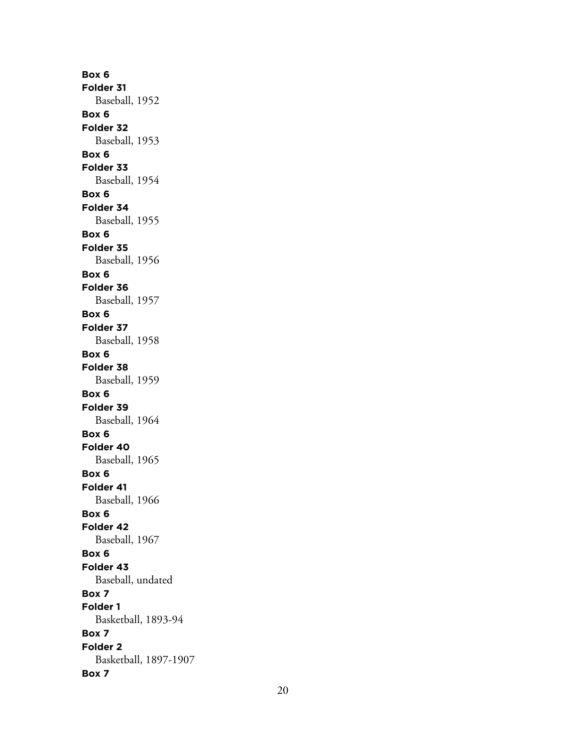**Box 6 Folder 31** Baseball, 1952 **Box 6 Folder 32** Baseball, 1953 **Box 6 Folder 33** Baseball, 1954 **Box 6 Folder 34** Baseball, 1955 **Box 6 Folder 35** Baseball, 1956 **Box 6 Folder 36** Baseball, 1957 **Box 6 Folder 37** Baseball, 1958 **Box 6 Folder 38** Baseball, 1959 **Box 6 Folder 39** Baseball, 1964 **Box 6 Folder 40** Baseball, 1965 **Box 6 Folder 41** Baseball, 1966 **Box 6 Folder 42** Baseball, 1967 **Box 6 Folder 43** Baseball, undated **Box 7 Folder 1** Basketball, 1893-94 **Box 7 Folder 2** Basketball, 1897-1907 **Box 7**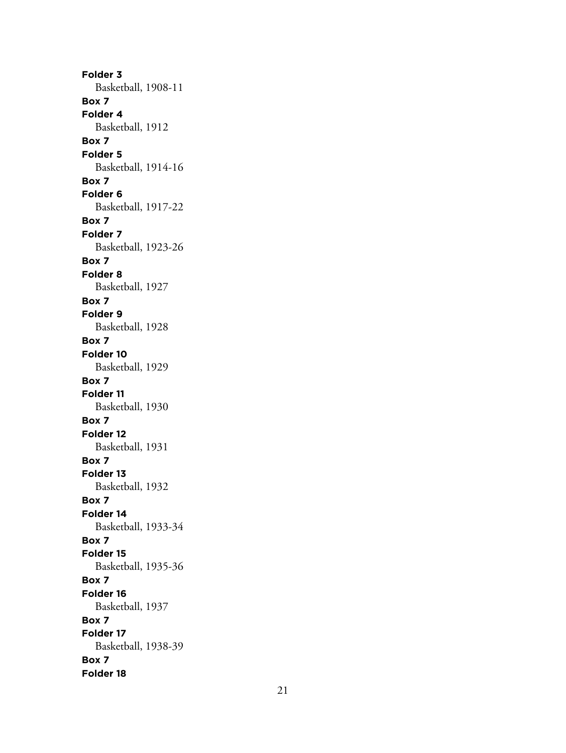**Folder 3** Basketball, 1908-11 **Box 7 Folder 4** Basketball, 1912 **Box 7 Folder 5** Basketball, 1914-16 **Box 7 Folder 6** Basketball, 1917-22 **Box 7 Folder 7** Basketball, 1923-26 **Box 7 Folder 8** Basketball, 1927 **Box 7 Folder 9** Basketball, 1928 **Box 7 Folder 10** Basketball, 1929 **Box 7 Folder 11** Basketball, 1930 **Box 7 Folder 12** Basketball, 1931 **Box 7 Folder 13** Basketball, 1932 **Box 7 Folder 14** Basketball, 1933-34 **Box 7 Folder 15** Basketball, 1935-36 **Box 7 Folder 16** Basketball, 1937 **Box 7 Folder 17** Basketball, 1938-39 **Box 7 Folder 18**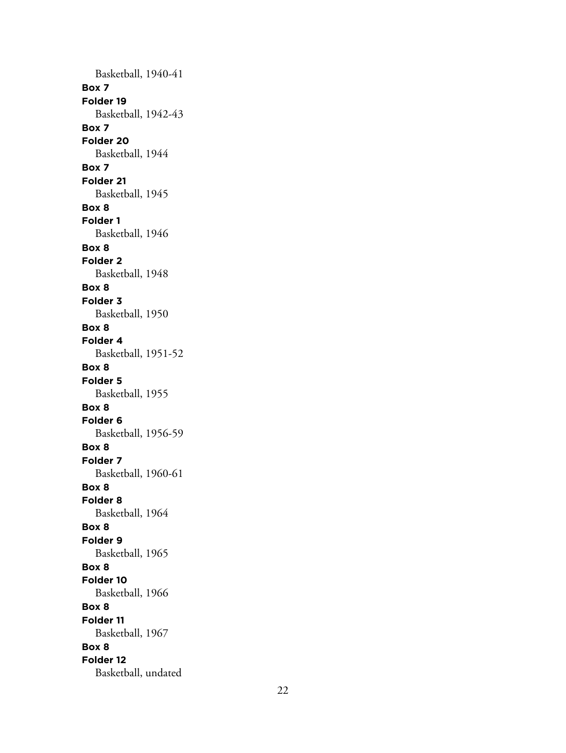Basketball, 1940-41 **Box 7 Folder 19** Basketball, 1942-43 **Box 7 Folder 20** Basketball, 1944 **Box 7 Folder 21** Basketball, 1945 **Box 8 Folder 1** Basketball, 1946 **Box 8 Folder 2** Basketball, 1948 **Box 8 Folder 3** Basketball, 1950 **Box 8 Folder 4** Basketball, 1951-52 **Box 8 Folder 5** Basketball, 1955 **Box 8 Folder 6** Basketball, 1956-59 **Box 8 Folder 7** Basketball, 1960-61 **Box 8 Folder 8** Basketball, 1964 **Box 8 Folder 9** Basketball, 1965 **Box 8 Folder 10** Basketball, 1966 **Box 8 Folder 11** Basketball, 1967 **Box 8 Folder 12** Basketball, undated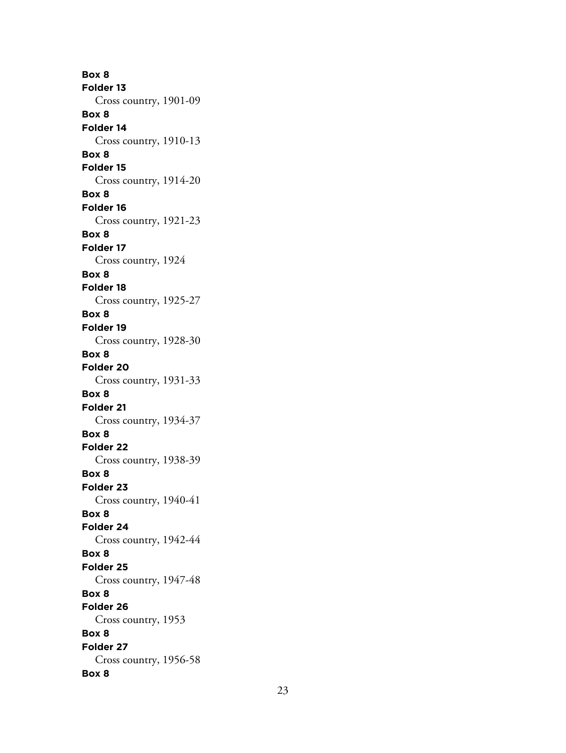**Box 8 Folder 13** Cross country, 1901-09 **Box 8 Folder 14** Cross country, 1910-13 **Box 8 Folder 15** Cross country, 1914-20 **Box 8 Folder 16** Cross country, 1921-23 **Box 8 Folder 17** Cross country, 1924 **Box 8 Folder 18** Cross country, 1925-27 **Box 8 Folder 19** Cross country, 1928-30 **Box 8 Folder 20** Cross country, 1931-33 **Box 8 Folder 21** Cross country, 1934-37 **Box 8 Folder 22** Cross country, 1938-39 **Box 8 Folder 23** Cross country, 1940-41 **Box 8 Folder 24** Cross country, 1942-44 **Box 8 Folder 25** Cross country, 1947-48 **Box 8 Folder 26** Cross country, 1953 **Box 8 Folder 27** Cross country, 1956-58 **Box 8**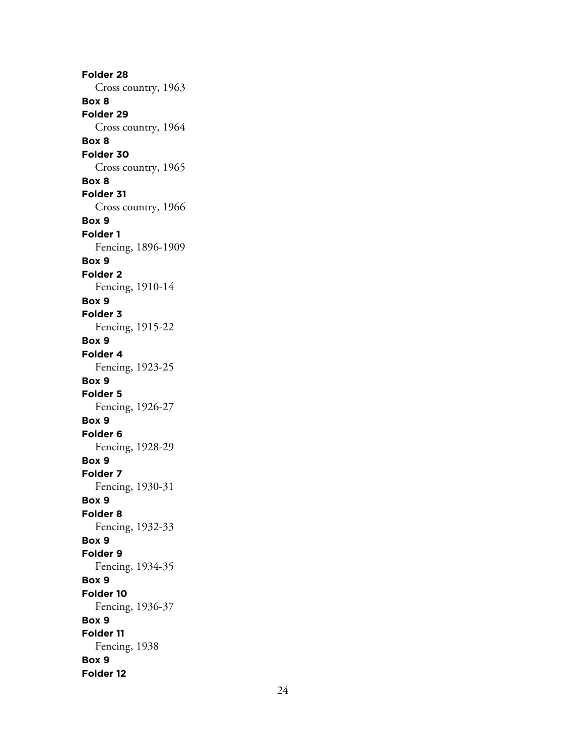**Folder 28** Cross country, 1963 **Box 8 Folder 29** Cross country, 1964 **Box 8 Folder 30** Cross country, 1965 **Box 8 Folder 31** Cross country, 1966 **Box 9 Folder 1** Fencing, 1896-1909 **Box 9 Folder 2** Fencing, 1910-14 **Box 9 Folder 3** Fencing, 1915-22 **Box 9 Folder 4** Fencing, 1923-25 **Box 9 Folder 5** Fencing, 1926-27 **Box 9 Folder 6** Fencing, 1928-29 **Box 9 Folder 7** Fencing, 1930-31 **Box 9 Folder 8** Fencing, 1932-33 **Box 9 Folder 9** Fencing, 1934-35 **Box 9 Folder 10** Fencing, 1936-37 **Box 9 Folder 11** Fencing, 1938 **Box 9 Folder 12**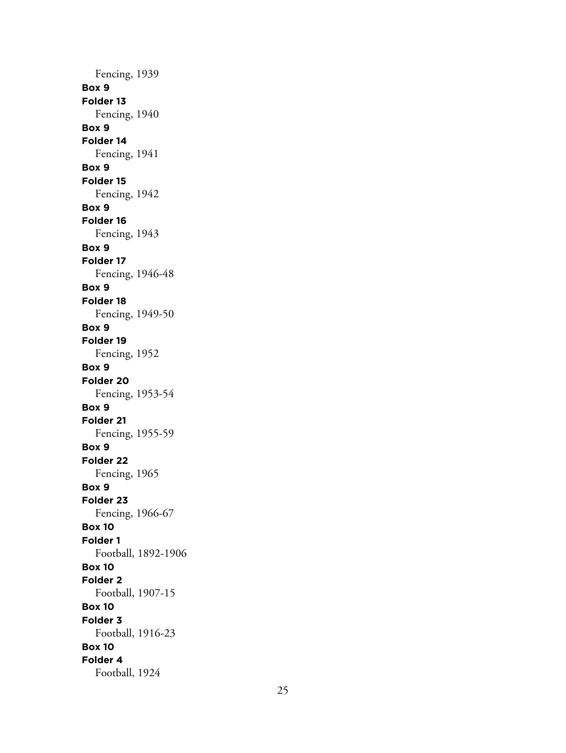Fencing, 1939 **Box 9 Folder 13** Fencing, 1940 **Box 9 Folder 14** Fencing, 1941 **Box 9 Folder 15** Fencing, 1942 **Box 9 Folder 16** Fencing, 1943 **Box 9 Folder 17** Fencing, 1946-48 **Box 9 Folder 18** Fencing, 1949-50 **Box 9 Folder 19** Fencing, 1952 **Box 9 Folder 20** Fencing, 1953-54 **Box 9 Folder 21** Fencing, 1955-59 **Box 9 Folder 22** Fencing, 1965 **Box 9 Folder 23** Fencing, 1966-67 **Box 10 Folder 1** Football, 1892-1906 **Box 10 Folder 2** Football, 1907-15 **Box 10 Folder 3** Football, 1916-23 **Box 10 Folder 4** Football, 1924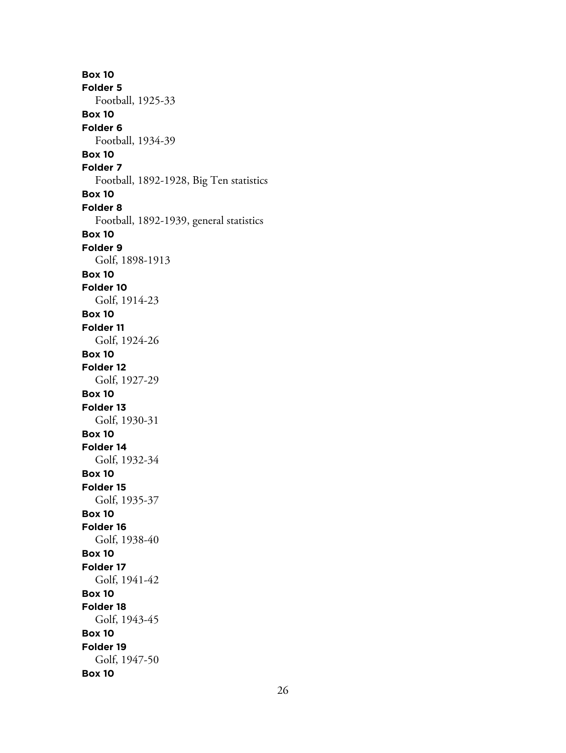**Box 10 Folder 5** Football, 1925-33 **Box 10 Folder 6** Football, 1934-39 **Box 10 Folder 7** Football, 1892-1928, Big Ten statistics **Box 10 Folder 8** Football, 1892-1939, general statistics **Box 10 Folder 9** Golf, 1898-1913 **Box 10 Folder 10** Golf, 1914-23 **Box 10 Folder 11** Golf, 1924-26 **Box 10 Folder 12** Golf, 1927-29 **Box 10 Folder 13** Golf, 1930-31 **Box 10 Folder 14** Golf, 1932-34 **Box 10 Folder 15** Golf, 1935-37 **Box 10 Folder 16** Golf, 1938-40 **Box 10 Folder 17** Golf, 1941-42 **Box 10 Folder 18** Golf, 1943-45 **Box 10 Folder 19** Golf, 1947-50 **Box 10**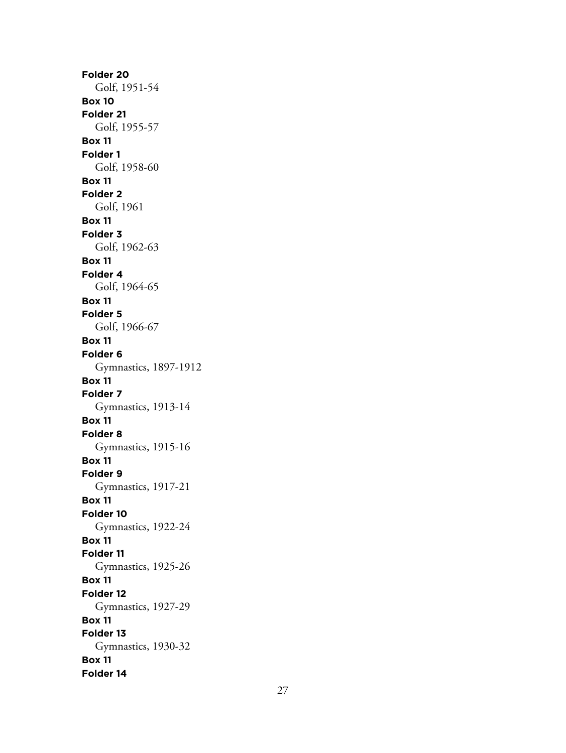**Folder 20** Golf, 1951-54 **Box 10 Folder 21** Golf, 1955-57 **Box 11 Folder 1** Golf, 1958-60 **Box 11 Folder 2** Golf, 1961 **Box 11 Folder 3** Golf, 1962-63 **Box 11 Folder 4** Golf, 1964-65 **Box 11 Folder 5** Golf, 1966-67 **Box 11 Folder 6** Gymnastics, 1897-1912 **Box 11 Folder 7** Gymnastics, 1913-14 **Box 11 Folder 8** Gymnastics, 1915-16 **Box 11 Folder 9** Gymnastics, 1917-21 **Box 11 Folder 10** Gymnastics, 1922-24 **Box 11 Folder 11** Gymnastics, 1925-26 **Box 11 Folder 12** Gymnastics, 1927-29 **Box 11 Folder 13** Gymnastics, 1930-32 **Box 11 Folder 14**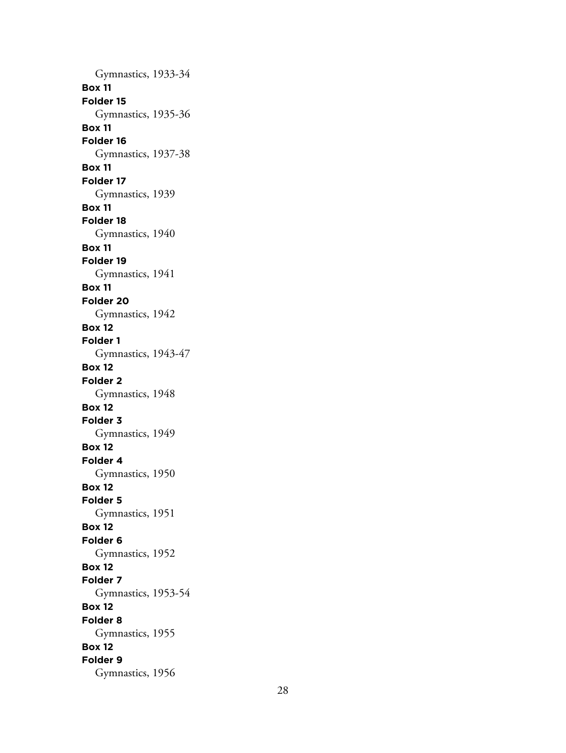Gymnastics, 1933-34 **Box 11 Folder 15** Gymnastics, 1935-36 **Box 11 Folder 16** Gymnastics, 1937-38 **Box 11 Folder 17** Gymnastics, 1939 **Box 11 Folder 18** Gymnastics, 1940 **Box 11 Folder 19** Gymnastics, 1941 **Box 11 Folder 20** Gymnastics, 1942 **Box 12 Folder 1** Gymnastics, 1943-47 **Box 12 Folder 2** Gymnastics, 1948 **Box 12 Folder 3** Gymnastics, 1949 **Box 12 Folder 4** Gymnastics, 1950 **Box 12 Folder 5** Gymnastics, 1951 **Box 12 Folder 6** Gymnastics, 1952 **Box 12 Folder 7** Gymnastics, 1953-54 **Box 12 Folder 8** Gymnastics, 1955 **Box 12 Folder 9** Gymnastics, 1956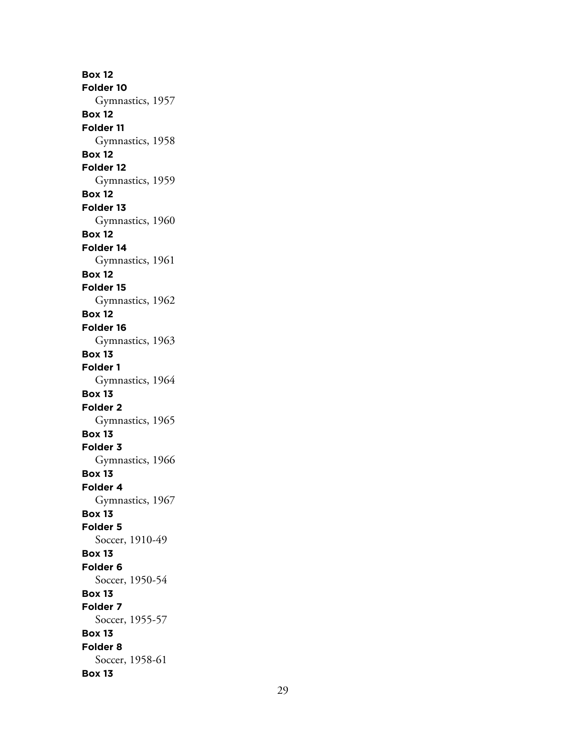**Box 12 Folder 10** Gymnastics, 1957 **Box 12 Folder 11** Gymnastics, 1958 **Box 12 Folder 12** Gymnastics, 1959 **Box 12 Folder 13** Gymnastics, 1960 **Box 12 Folder 14** Gymnastics, 1961 **Box 12 Folder 15** Gymnastics, 1962 **Box 12 Folder 16** Gymnastics, 1963 **Box 13 Folder 1** Gymnastics, 1964 **Box 13 Folder 2** Gymnastics, 1965 **Box 13 Folder 3** Gymnastics, 1966 **Box 13 Folder 4** Gymnastics, 1967 **Box 13 Folder 5** Soccer, 1910-49 **Box 13 Folder 6** Soccer, 1950-54 **Box 13 Folder 7** Soccer, 1955-57 **Box 13 Folder 8** Soccer, 1958-61 **Box 13**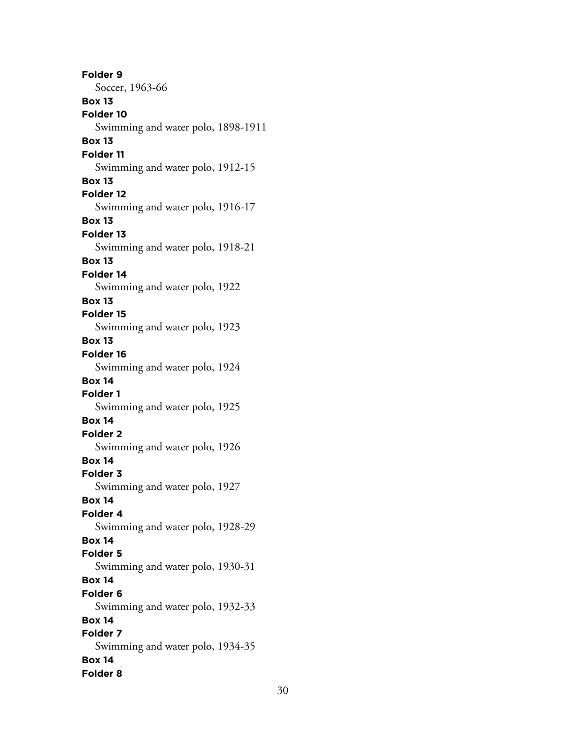**Folder 9** Soccer, 1963-66 **Box 13 Folder 10** Swimming and water polo, 1898-1911 **Box 13 Folder 11** Swimming and water polo, 1912-15 **Box 13 Folder 12** Swimming and water polo, 1916-17 **Box 13 Folder 13** Swimming and water polo, 1918-21 **Box 13 Folder 14** Swimming and water polo, 1922 **Box 13 Folder 15** Swimming and water polo, 1923 **Box 13 Folder 16** Swimming and water polo, 1924 **Box 14 Folder 1** Swimming and water polo, 1925 **Box 14 Folder 2** Swimming and water polo, 1926 **Box 14 Folder 3** Swimming and water polo, 1927 **Box 14 Folder 4** Swimming and water polo, 1928-29 **Box 14 Folder 5** Swimming and water polo, 1930-31 **Box 14 Folder 6** Swimming and water polo, 1932-33 **Box 14 Folder 7** Swimming and water polo, 1934-35 **Box 14 Folder 8**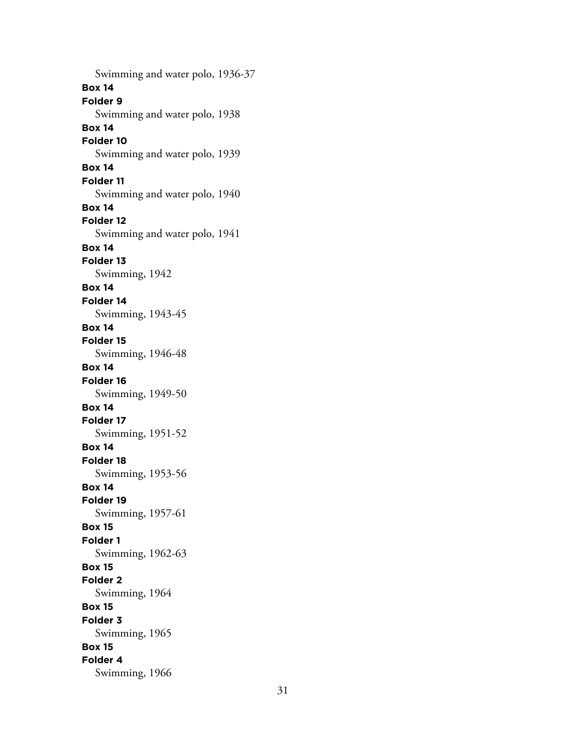Swimming and water polo, 1936-37 **Box 14 Folder 9** Swimming and water polo, 1938 **Box 14 Folder 10** Swimming and water polo, 1939 **Box 14 Folder 11** Swimming and water polo, 1940 **Box 14 Folder 12** Swimming and water polo, 1941 **Box 14 Folder 13** Swimming, 1942 **Box 14 Folder 14** Swimming, 1943-45 **Box 14 Folder 15** Swimming, 1946-48 **Box 14 Folder 16** Swimming, 1949-50 **Box 14 Folder 17** Swimming, 1951-52 **Box 14 Folder 18** Swimming, 1953-56 **Box 14 Folder 19** Swimming, 1957-61 **Box 15 Folder 1** Swimming, 1962-63 **Box 15 Folder 2** Swimming, 1964 **Box 15 Folder 3** Swimming, 1965 **Box 15 Folder 4** Swimming, 1966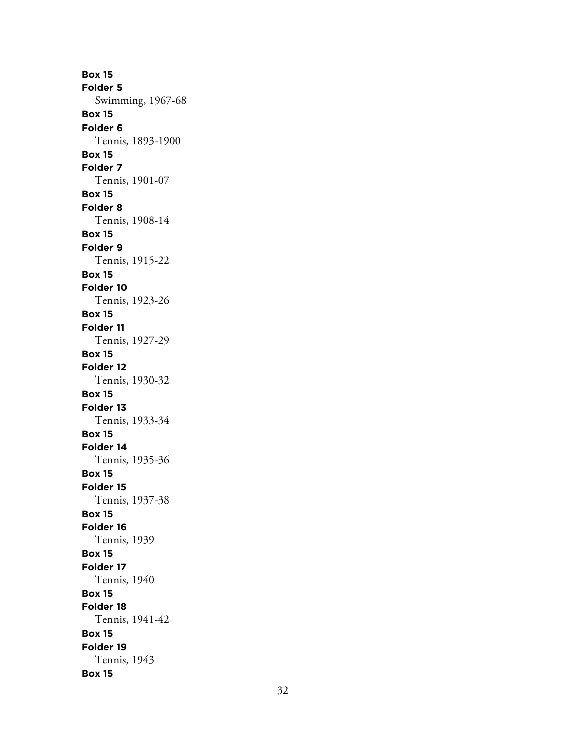**Box 15 Folder 5** Swimming, 1967-68 **Box 15 Folder 6** Tennis, 1893-1900 **Box 15 Folder 7** Tennis, 1901-07 **Box 15 Folder 8** Tennis, 1908-14 **Box 15 Folder 9** Tennis, 1915-22 **Box 15 Folder 10** Tennis, 1923-26 **Box 15 Folder 11** Tennis, 1927-29 **Box 15 Folder 12** Tennis, 1930-32 **Box 15 Folder 13** Tennis, 1933-34 **Box 15 Folder 14** Tennis, 1935-36 **Box 15 Folder 15** Tennis, 1937-38 **Box 15 Folder 16** Tennis, 1939 **Box 15 Folder 17** Tennis, 1940 **Box 15 Folder 18** Tennis, 1941-42 **Box 15 Folder 19** Tennis, 1943 **Box 15**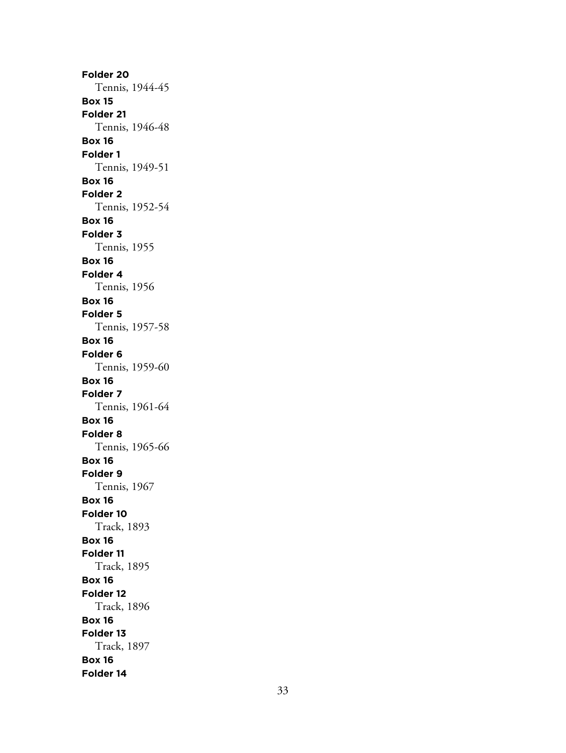**Folder 20** Tennis, 1944-45 **Box 15 Folder 21** Tennis, 1946-48 **Box 16 Folder 1** Tennis, 1949-51 **Box 16 Folder 2** Tennis, 1952-54 **Box 16 Folder 3** Tennis, 1955 **Box 16 Folder 4** Tennis, 1956 **Box 16 Folder 5** Tennis, 1957-58 **Box 16 Folder 6** Tennis, 1959-60 **Box 16 Folder 7** Tennis, 1961-64 **Box 16 Folder 8** Tennis, 1965-66 **Box 16 Folder 9** Tennis, 1967 **Box 16 Folder 10** Track, 1893 **Box 16 Folder 11** Track, 1895 **Box 16 Folder 12** Track, 1896 **Box 16 Folder 13** Track, 1897 **Box 16 Folder 14**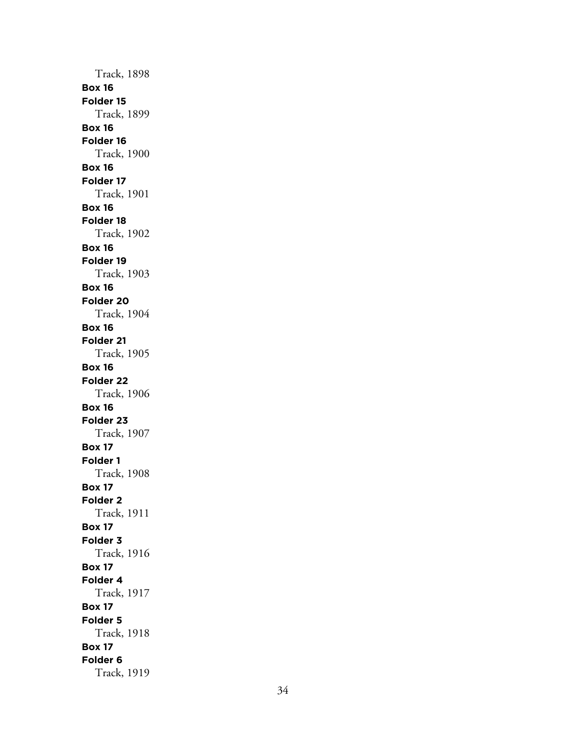Track, 1898 **Box 16 Folder 15** Track, 1899 **Box 16 Folder 16** Track, 1900 **Box 16 Folder 17** Track, 1901 **Box 16 Folder 18** Track, 1902 **Box 16 Folder 19** Track, 1903 **Box 16 Folder 20** Track, 1904 **Box 16 Folder 21** Track, 1905 **Box 16 Folder 22** Track, 1906 **Box 16 Folder 23** Track, 1907 **Box 17 Folder 1** Track, 1908 **Box 17 Folder 2** Track, 1911 **Box 17 Folder 3** Track, 1916 **Box 17 Folder 4** Track, 1917 **Box 17 Folder 5** Track, 1918 **Box 17 Folder 6** Track, 1919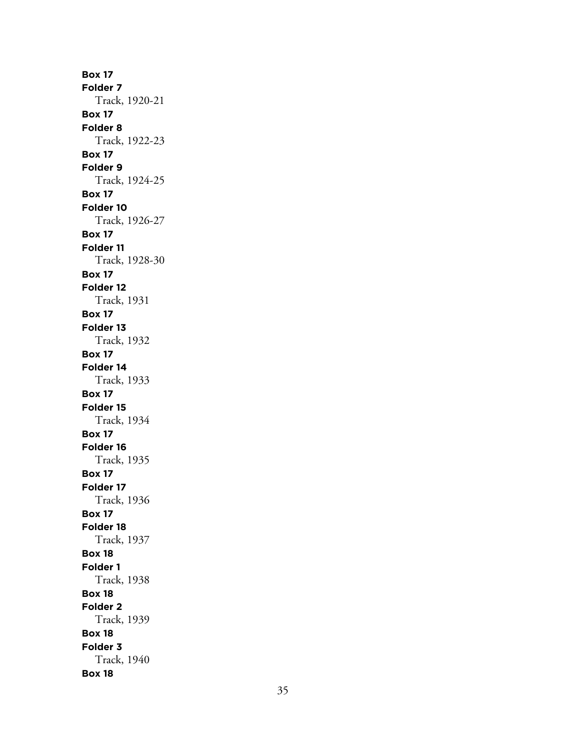**Box 17 Folder 7** Track, 1920-21 **Box 17 Folder 8** Track, 1922-23 **Box 17 Folder 9** Track, 1924-25 **Box 17 Folder 10** Track, 1926-27 **Box 17 Folder 11** Track, 1928-30 **Box 17 Folder 12** Track, 1931 **Box 17 Folder 13** Track, 1932 **Box 17 Folder 14** Track, 1933 **Box 17 Folder 15** Track, 1934 **Box 17 Folder 16** Track, 1935 **Box 17 Folder 17** Track, 1936 **Box 17 Folder 18** Track, 1937 **Box 18 Folder 1** Track, 1938 **Box 18 Folder 2** Track, 1939 **Box 18 Folder 3** Track, 1940 **Box 18**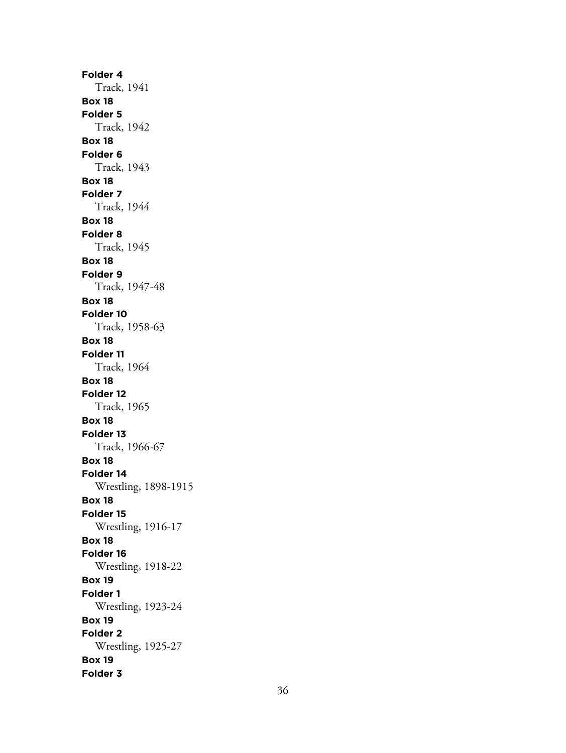**Folder 4** Track, 1941 **Box 18 Folder 5** Track, 1942 **Box 18 Folder 6** Track, 1943 **Box 18 Folder 7** Track, 1944 **Box 18 Folder 8** Track, 1945 **Box 18 Folder 9** Track, 1947-48 **Box 18 Folder 10** Track, 1958-63 **Box 18 Folder 11** Track, 1964 **Box 18 Folder 12** Track, 1965 **Box 18 Folder 13** Track, 1966-67 **Box 18 Folder 14** Wrestling, 1898-1915 **Box 18 Folder 15** Wrestling, 1916-17 **Box 18 Folder 16** Wrestling, 1918-22 **Box 19 Folder 1** Wrestling, 1923-24 **Box 19 Folder 2** Wrestling, 1925-27 **Box 19 Folder 3**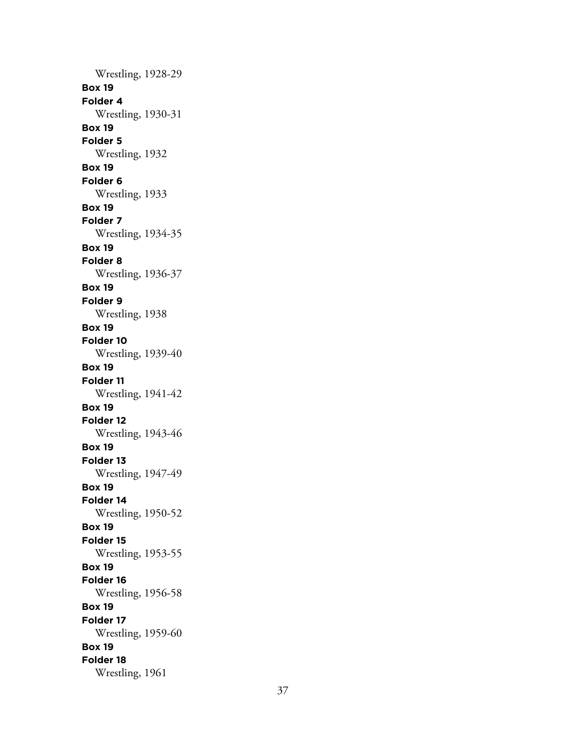Wrestling, 1928-29 **Box 19 Folder 4** Wrestling, 1930-31 **Box 19 Folder 5** Wrestling, 1932 **Box 19 Folder 6** Wrestling, 1933 **Box 19 Folder 7** Wrestling, 1934-35 **Box 19 Folder 8** Wrestling, 1936-37 **Box 19 Folder 9** Wrestling, 1938 **Box 19 Folder 10** Wrestling, 1939-40 **Box 19 Folder 11** Wrestling, 1941-42 **Box 19 Folder 12** Wrestling, 1943-46 **Box 19 Folder 13** Wrestling, 1947-49 **Box 19 Folder 14** Wrestling, 1950-52 **Box 19 Folder 15** Wrestling, 1953-55 **Box 19 Folder 16** Wrestling, 1956-58 **Box 19 Folder 17** Wrestling, 1959-60 **Box 19 Folder 18** Wrestling, 1961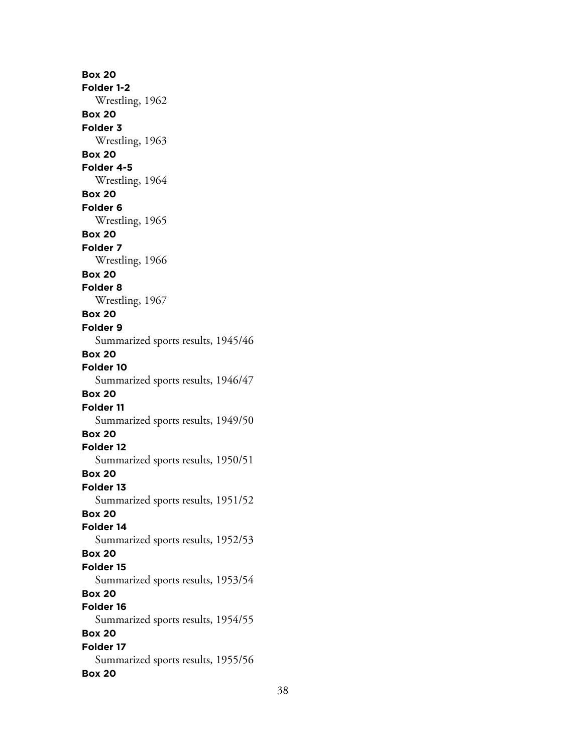**Box 20 Folder 1-2** Wrestling, 1962 **Box 20 Folder 3** Wrestling, 1963 **Box 20 Folder 4-5** Wrestling, 1964 **Box 20 Folder 6** Wrestling, 1965 **Box 20 Folder 7** Wrestling, 1966 **Box 20 Folder 8** Wrestling, 1967 **Box 20 Folder 9** Summarized sports results, 1945/46 **Box 20 Folder 10** Summarized sports results, 1946/47 **Box 20 Folder 11** Summarized sports results, 1949/50 **Box 20 Folder 12** Summarized sports results, 1950/51 **Box 20 Folder 13** Summarized sports results, 1951/52 **Box 20 Folder 14** Summarized sports results, 1952/53 **Box 20 Folder 15** Summarized sports results, 1953/54 **Box 20 Folder 16** Summarized sports results, 1954/55 **Box 20 Folder 17** Summarized sports results, 1955/56 **Box 20**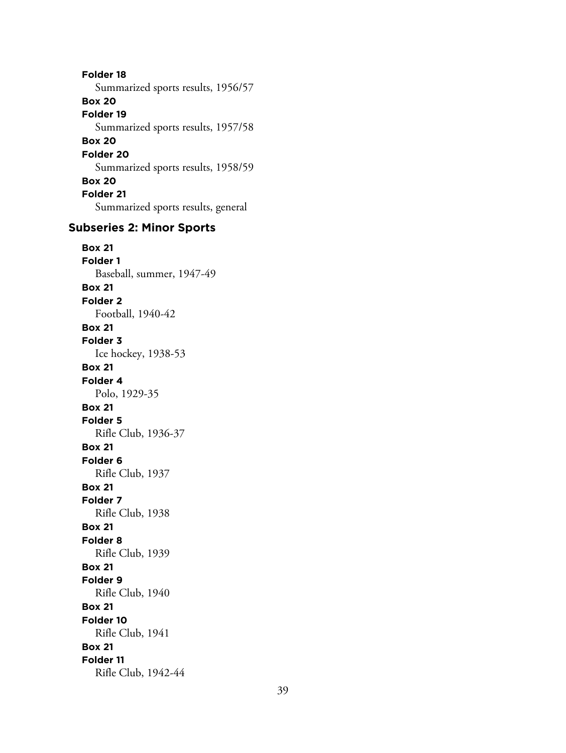**Folder 18** Summarized sports results, 1956/57 **Box 20 Folder 19** Summarized sports results, 1957/58 **Box 20 Folder 20** Summarized sports results, 1958/59 **Box 20 Folder 21** Summarized sports results, general

## **Subseries 2: Minor Sports**

**Box 21 Folder 1** Baseball, summer, 1947-49 **Box 21 Folder 2** Football, 1940-42 **Box 21 Folder 3** Ice hockey, 1938-53 **Box 21 Folder 4** Polo, 1929-35 **Box 21 Folder 5** Rifle Club, 1936-37 **Box 21 Folder 6** Rifle Club, 1937 **Box 21 Folder 7** Rifle Club, 1938 **Box 21 Folder 8** Rifle Club, 1939 **Box 21 Folder 9** Rifle Club, 1940 **Box 21 Folder 10** Rifle Club, 1941 **Box 21 Folder 11** Rifle Club, 1942-44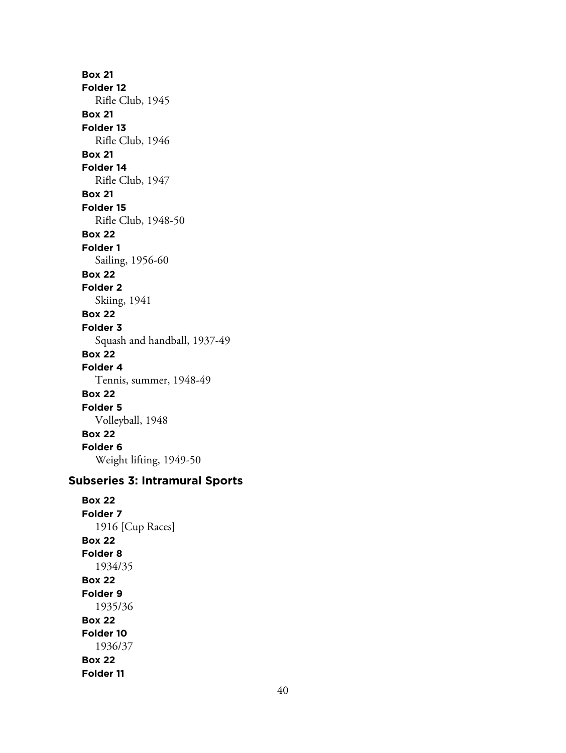**Box 21 Folder 12** Rifle Club, 1945 **Box 21 Folder 13** Rifle Club, 1946 **Box 21 Folder 14** Rifle Club, 1947 **Box 21 Folder 15** Rifle Club, 1948-50 **Box 22 Folder 1** Sailing, 1956-60 **Box 22 Folder 2** Skiing, 1941 **Box 22 Folder 3** Squash and handball, 1937-49 **Box 22 Folder 4** Tennis, summer, 1948-49 **Box 22 Folder 5** Volleyball, 1948 **Box 22 Folder 6** Weight lifting, 1949-50

# **Subseries 3: Intramural Sports**

**Box 22 Folder 7** 1916 [Cup Races] **Box 22 Folder 8** 1934/35 **Box 22 Folder 9** 1935/36 **Box 22 Folder 10** 1936/37 **Box 22 Folder 11**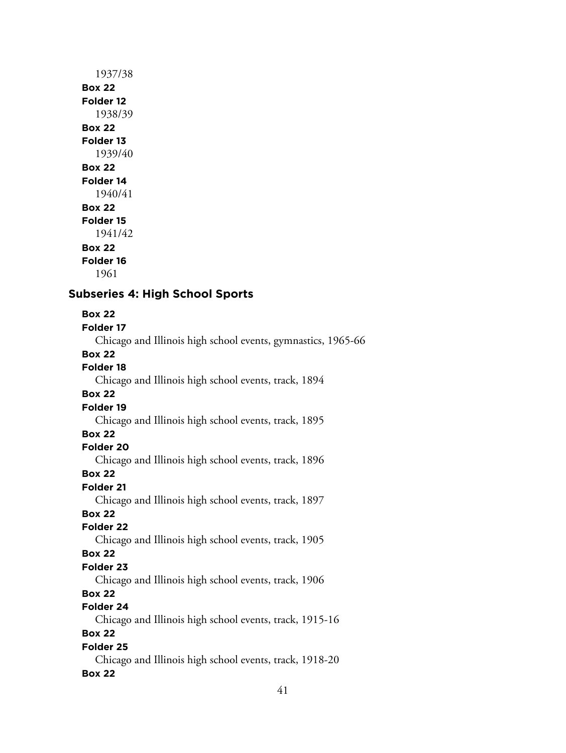# 1937/38 **Box 22 Folder 12** 1938/39 **Box 22 Folder 13** 1939/40 **Box 22 Folder 14** 1940/41 **Box 22 Folder 15** 1941/42 **Box 22 Folder 16**

1961

# **Subseries 4: High School Sports**

# **Box 22**

**Folder 17**

Chicago and Illinois high school events, gymnastics, 1965-66

## **Box 22**

**Folder 18**

Chicago and Illinois high school events, track, 1894

# **Box 22**

# **Folder 19**

Chicago and Illinois high school events, track, 1895

## **Box 22**

# **Folder 20**

Chicago and Illinois high school events, track, 1896

## **Box 22**

# **Folder 21**

Chicago and Illinois high school events, track, 1897

# **Box 22**

# **Folder 22**

Chicago and Illinois high school events, track, 1905

# **Box 22**

# **Folder 23**

Chicago and Illinois high school events, track, 1906

# **Box 22**

# **Folder 24**

Chicago and Illinois high school events, track, 1915-16

# **Box 22**

# **Folder 25**

Chicago and Illinois high school events, track, 1918-20 **Box 22**

# 41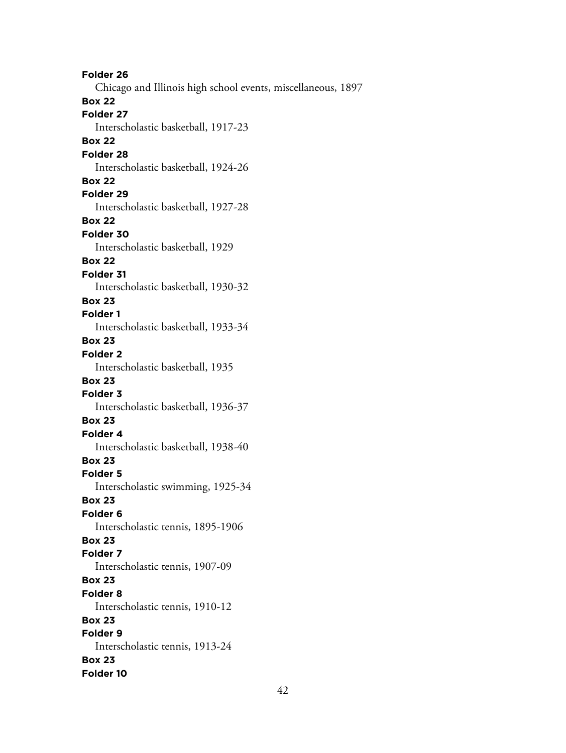**Folder 26** Chicago and Illinois high school events, miscellaneous, 1897 **Box 22 Folder 27** Interscholastic basketball, 1917-23 **Box 22 Folder 28** Interscholastic basketball, 1924-26 **Box 22 Folder 29** Interscholastic basketball, 1927-28 **Box 22 Folder 30** Interscholastic basketball, 1929 **Box 22 Folder 31** Interscholastic basketball, 1930-32 **Box 23 Folder 1** Interscholastic basketball, 1933-34 **Box 23 Folder 2** Interscholastic basketball, 1935 **Box 23 Folder 3** Interscholastic basketball, 1936-37 **Box 23 Folder 4** Interscholastic basketball, 1938-40 **Box 23 Folder 5** Interscholastic swimming, 1925-34 **Box 23 Folder 6** Interscholastic tennis, 1895-1906 **Box 23 Folder 7** Interscholastic tennis, 1907-09 **Box 23 Folder 8** Interscholastic tennis, 1910-12 **Box 23 Folder 9** Interscholastic tennis, 1913-24 **Box 23 Folder 10**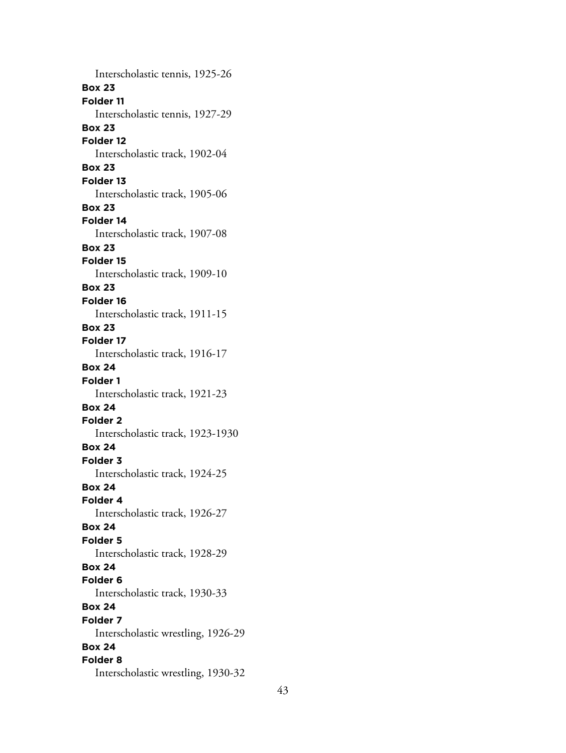Interscholastic tennis, 1925-26 **Box 23 Folder 11** Interscholastic tennis, 1927-29 **Box 23 Folder 12** Interscholastic track, 1902-04 **Box 23 Folder 13** Interscholastic track, 1905-06 **Box 23 Folder 14** Interscholastic track, 1907-08 **Box 23 Folder 15** Interscholastic track, 1909-10 **Box 23 Folder 16** Interscholastic track, 1911-15 **Box 23 Folder 17** Interscholastic track, 1916-17 **Box 24 Folder 1** Interscholastic track, 1921-23 **Box 24 Folder 2** Interscholastic track, 1923-1930 **Box 24 Folder 3** Interscholastic track, 1924-25 **Box 24 Folder 4** Interscholastic track, 1926-27 **Box 24 Folder 5** Interscholastic track, 1928-29 **Box 24 Folder 6** Interscholastic track, 1930-33 **Box 24 Folder 7** Interscholastic wrestling, 1926-29 **Box 24 Folder 8** Interscholastic wrestling, 1930-32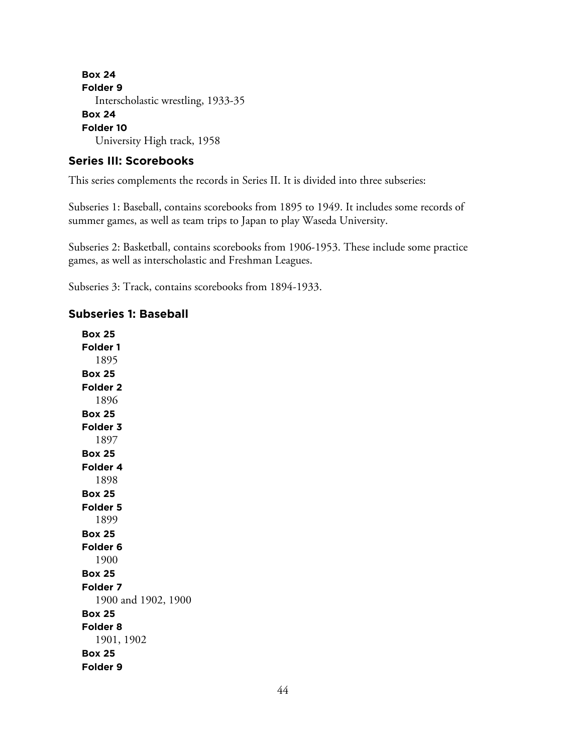**Box 24 Folder 9** Interscholastic wrestling, 1933-35 **Box 24 Folder 10** University High track, 1958

#### **Series III: Scorebooks**

This series complements the records in Series II. It is divided into three subseries:

Subseries 1: Baseball, contains scorebooks from 1895 to 1949. It includes some records of summer games, as well as team trips to Japan to play Waseda University.

Subseries 2: Basketball, contains scorebooks from 1906-1953. These include some practice games, as well as interscholastic and Freshman Leagues.

Subseries 3: Track, contains scorebooks from 1894-1933.

### **Subseries 1: Baseball**

**Box 25 Folder 1** 1895 **Box 25 Folder 2** 1896 **Box 25 Folder 3** 1897 **Box 25 Folder 4** 1898 **Box 25 Folder 5** 1899 **Box 25 Folder 6** 1900 **Box 25 Folder 7** 1900 and 1902, 1900 **Box 25 Folder 8** 1901, 1902 **Box 25 Folder 9**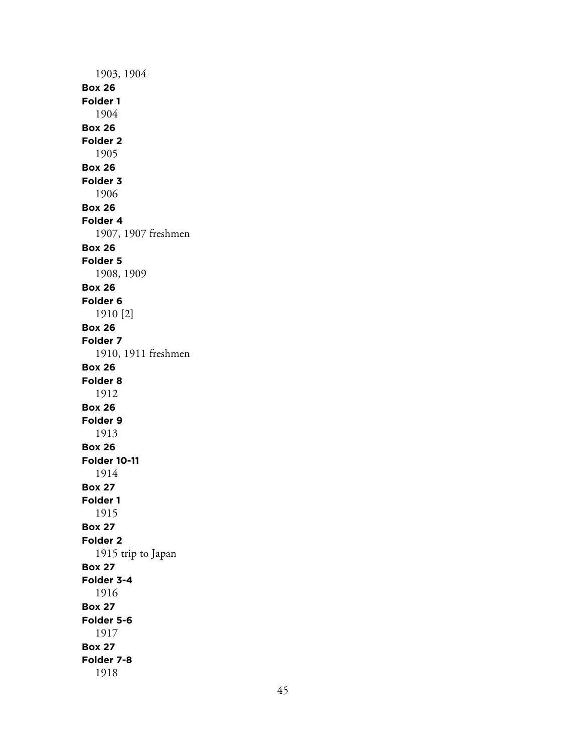1903, 1904 **Box 26 Folder 1** 1904 **Box 26 Folder 2** 1905 **Box 26 Folder 3** 1906 **Box 26 Folder 4** 1907, 1907 freshmen **Box 26 Folder 5** 1908, 1909 **Box 26 Folder 6** 1910 [2] **Box 26 Folder 7** 1910, 1911 freshmen **Box 26 Folder 8** 1912 **Box 26 Folder 9** 1913 **Box 26 Folder 10-11** 1914 **Box 27 Folder 1** 1915 **Box 27 Folder 2** 1915 trip to Japan **Box 27 Folder 3-4** 1916 **Box 27 Folder 5-6** 1917 **Box 27 Folder 7-8** 1918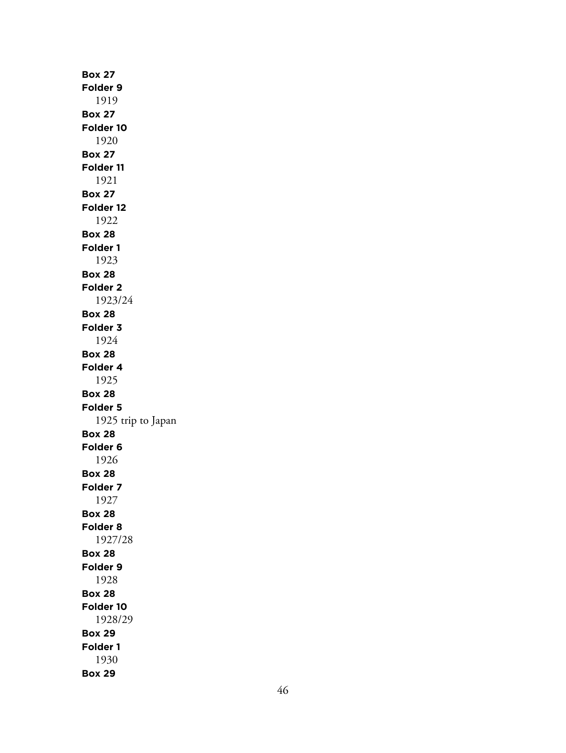**Box 27 Folder 9** 1919 **Box 27 Folder 10** 1920 **Box 27 Folder 11** 1921 **Box 27 Folder 12** 1922 **Box 28 Folder 1** 1923 **Box 28 Folder 2** 1923/24 **Box 28 Folder 3** 1924 **Box 28 Folder 4** 1925 **Box 28 Folder 5** 1925 trip to Japan **Box 28 Folder 6** 1926 **Box 28 Folder 7** 1927 **Box 28 Folder 8** 1927/28 **Box 28 Folder 9** 1928 **Box 28 Folder 10** 1928/29 **Box 29 Folder 1** 1930 **Box 29**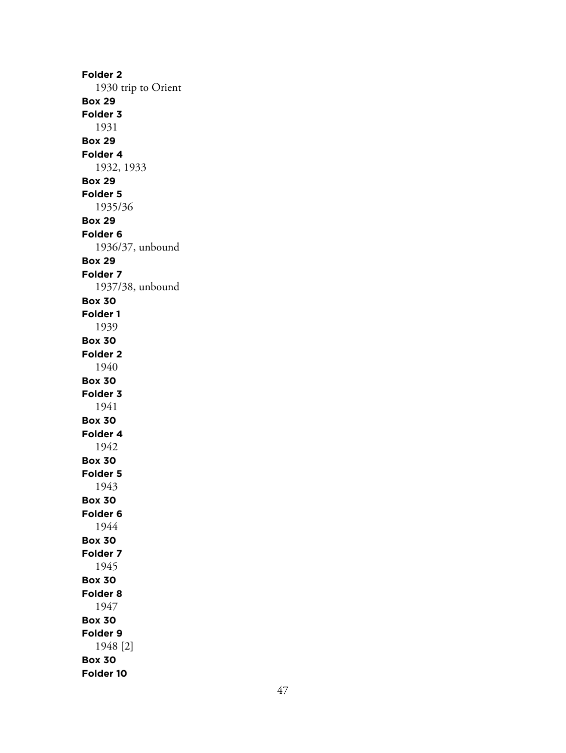**Folder 2** 1930 trip to Orient **Box 29 Folder 3** 1931 **Box 29 Folder 4** 1932, 1933 **Box 29 Folder 5** 1935/36 **Box 29 Folder 6** 1936/37, unbound **Box 29 Folder 7** 1937/38, unbound **Box 30 Folder 1** 1939 **Box 30 Folder 2** 1940 **Box 30 Folder 3** 1941 **Box 30 Folder 4** 1942 **Box 30 Folder 5** 1943 **Box 30 Folder 6** 1944 **Box 30 Folder 7** 1945 **Box 30 Folder 8** 1947 **Box 30 Folder 9** 1948 [2] **Box 30 Folder 10**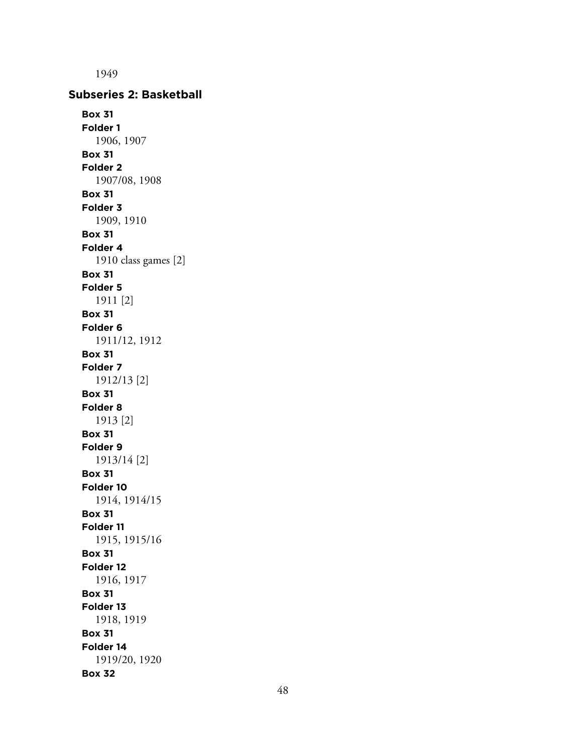1949 **Subseries 2: Basketball Box 31 Folder 1** 1906, 1907 **Box 31 Folder 2** 1907/08, 1908 **Box 31 Folder 3** 1909, 1910 **Box 31 Folder 4** 1910 class games [2] **Box 31 Folder 5** 1911 [2] **Box 31 Folder 6** 1911/12, 1912 **Box 31 Folder 7** 1912/13 [2] **Box 31 Folder 8** 1913 [2] **Box 31 Folder 9** 1913/14 [2] **Box 31 Folder 10** 1914, 1914/15 **Box 31 Folder 11** 1915, 1915/16 **Box 31 Folder 12** 1916, 1917 **Box 31 Folder 13** 1918, 1919 **Box 31 Folder 14** 1919/20, 1920 **Box 32**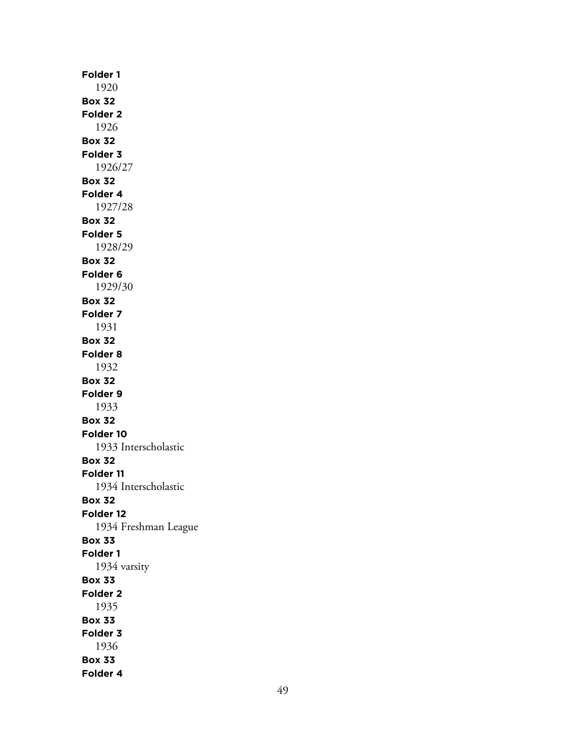**Folder 1** 1920 **Box 32 Folder 2** 1926 **Box 32 Folder 3** 1926/27 **Box 32 Folder 4** 1927/28 **Box 32 Folder 5** 1928/29 **Box 32 Folder 6** 1929/30 **Box 32 Folder 7** 1931 **Box 32 Folder 8** 1932 **Box 32 Folder 9** 1933 **Box 32 Folder 10** 1933 Interscholastic **Box 32 Folder 11** 1934 Interscholastic **Box 32 Folder 12** 1934 Freshman League **Box 33 Folder 1** 1934 varsity **Box 33 Folder 2** 1935 **Box 33 Folder 3** 1936 **Box 33 Folder 4**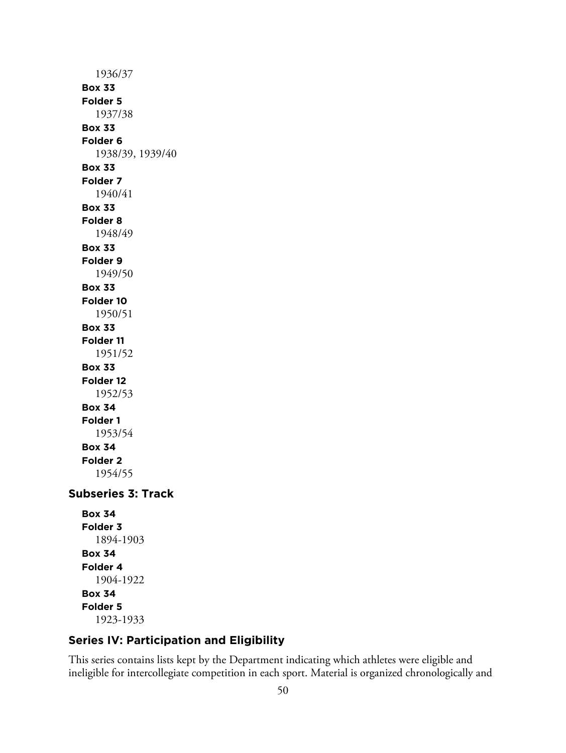1936/37 **Box 33 Folder 5** 1937/38 **Box 33 Folder 6** 1938/39, 1939/40 **Box 33 Folder 7** 1940/41 **Box 33 Folder 8** 1948/49 **Box 33 Folder 9** 1949/50 **Box 33 Folder 10** 1950/51 **Box 33 Folder 11** 1951/52 **Box 33 Folder 12** 1952/53 **Box 34 Folder 1** 1953/54 **Box 34 Folder 2** 1954/55 **Subseries 3: Track Box 34 Folder 3** 1894-1903 **Box 34 Folder 4**

1904-1922 **Box 34 Folder 5** 1923-1933

# **Series IV: Participation and Eligibility**

This series contains lists kept by the Department indicating which athletes were eligible and ineligible for intercollegiate competition in each sport. Material is organized chronologically and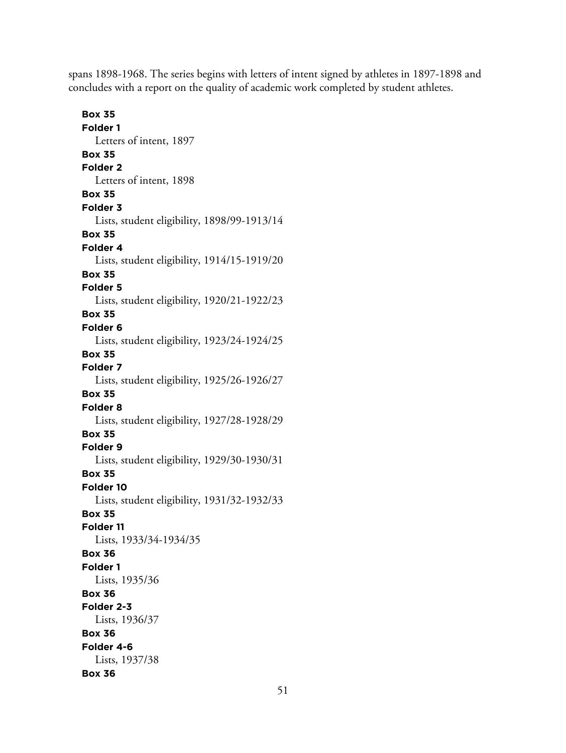spans 1898-1968. The series begins with letters of intent signed by athletes in 1897-1898 and concludes with a report on the quality of academic work completed by student athletes.

**Box 35 Folder 1** Letters of intent, 1897 **Box 35 Folder 2** Letters of intent, 1898 **Box 35 Folder 3** Lists, student eligibility, 1898/99-1913/14 **Box 35 Folder 4** Lists, student eligibility, 1914/15-1919/20 **Box 35 Folder 5** Lists, student eligibility, 1920/21-1922/23 **Box 35 Folder 6** Lists, student eligibility, 1923/24-1924/25 **Box 35 Folder 7** Lists, student eligibility, 1925/26-1926/27 **Box 35 Folder 8** Lists, student eligibility, 1927/28-1928/29 **Box 35 Folder 9** Lists, student eligibility, 1929/30-1930/31 **Box 35 Folder 10** Lists, student eligibility, 1931/32-1932/33 **Box 35 Folder 11** Lists, 1933/34-1934/35 **Box 36 Folder 1** Lists, 1935/36 **Box 36 Folder 2-3** Lists, 1936/37 **Box 36 Folder 4-6** Lists, 1937/38 **Box 36**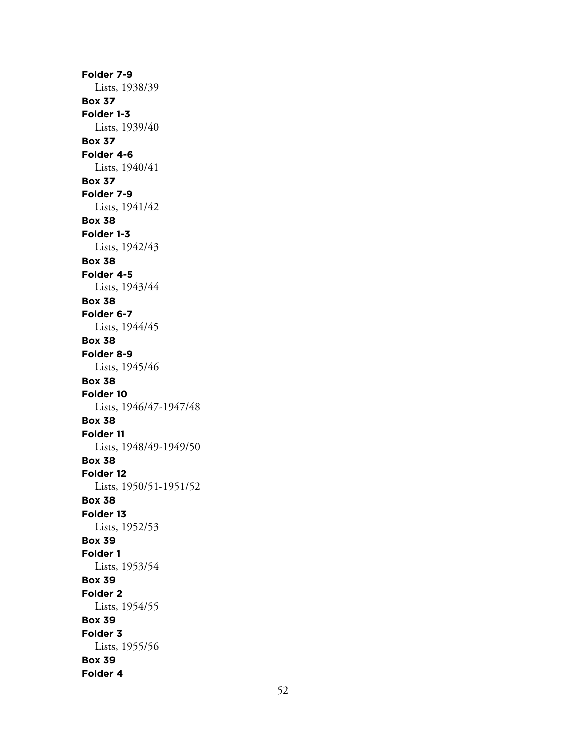**Folder 7-9** Lists, 1938/39 **Box 37 Folder 1-3** Lists, 1939/40 **Box 37 Folder 4-6** Lists, 1940/41 **Box 37 Folder 7-9** Lists, 1941/42 **Box 38 Folder 1-3** Lists, 1942/43 **Box 38 Folder 4-5** Lists, 1943/44 **Box 38 Folder 6-7** Lists, 1944/45 **Box 38 Folder 8-9** Lists, 1945/46 **Box 38 Folder 10** Lists, 1946/47-1947/48 **Box 38 Folder 11** Lists, 1948/49-1949/50 **Box 38 Folder 12** Lists, 1950/51-1951/52 **Box 38 Folder 13** Lists, 1952/53 **Box 39 Folder 1** Lists, 1953/54 **Box 39 Folder 2** Lists, 1954/55 **Box 39 Folder 3** Lists, 1955/56 **Box 39 Folder 4**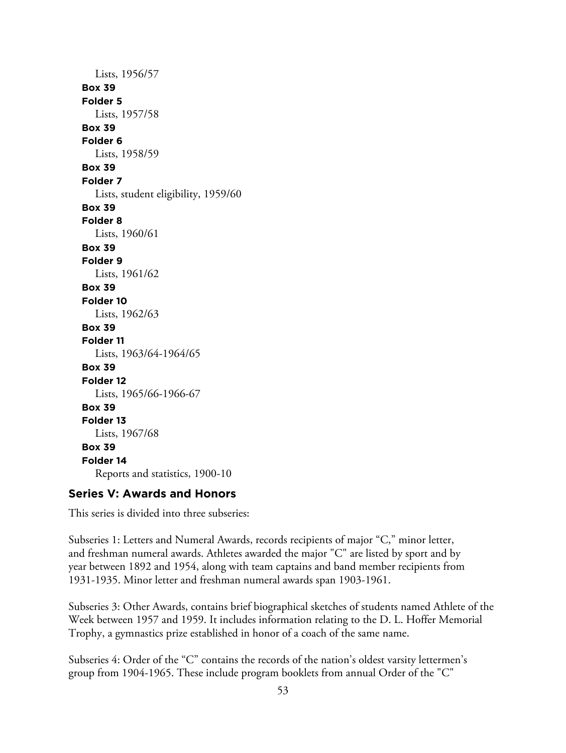Lists, 1956/57 **Box 39 Folder 5** Lists, 1957/58 **Box 39 Folder 6** Lists, 1958/59 **Box 39 Folder 7** Lists, student eligibility, 1959/60 **Box 39 Folder 8** Lists, 1960/61 **Box 39 Folder 9** Lists, 1961/62 **Box 39 Folder 10** Lists, 1962/63 **Box 39 Folder 11** Lists, 1963/64-1964/65 **Box 39 Folder 12** Lists, 1965/66-1966-67 **Box 39 Folder 13** Lists, 1967/68 **Box 39 Folder 14** Reports and statistics, 1900-10

# **Series V: Awards and Honors**

This series is divided into three subseries:

Subseries 1: Letters and Numeral Awards, records recipients of major "C," minor letter, and freshman numeral awards. Athletes awarded the major "C" are listed by sport and by year between 1892 and 1954, along with team captains and band member recipients from 1931-1935. Minor letter and freshman numeral awards span 1903-1961.

Subseries 3: Other Awards, contains brief biographical sketches of students named Athlete of the Week between 1957 and 1959. It includes information relating to the D. L. Hoffer Memorial Trophy, a gymnastics prize established in honor of a coach of the same name.

Subseries 4: Order of the "C" contains the records of the nation's oldest varsity lettermen's group from 1904-1965. These include program booklets from annual Order of the "C"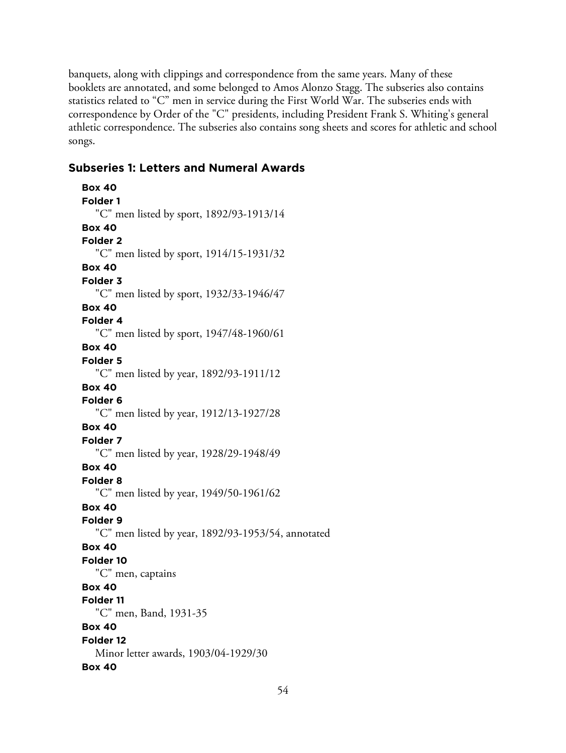banquets, along with clippings and correspondence from the same years. Many of these booklets are annotated, and some belonged to Amos Alonzo Stagg. The subseries also contains statistics related to "C" men in service during the First World War. The subseries ends with correspondence by Order of the "C" presidents, including President Frank S. Whiting's general athletic correspondence. The subseries also contains song sheets and scores for athletic and school songs.

## **Subseries 1: Letters and Numeral Awards**

```
Box 40
Folder 1
  "C" men listed by sport, 1892/93-1913/14
Box 40
Folder 2
  "C" men listed by sport, 1914/15-1931/32
Box 40
Folder 3
  "C" men listed by sport, 1932/33-1946/47
Box 40
Folder 4
  "C" men listed by sport, 1947/48-1960/61
Box 40
Folder 5
  "C" men listed by year, 1892/93-1911/12
Box 40
Folder 6
  "C" men listed by year, 1912/13-1927/28
Box 40
Folder 7
  "C" men listed by year, 1928/29-1948/49
Box 40
Folder 8
  "C" men listed by year, 1949/50-1961/62
Box 40
Folder 9
  "C" men listed by year, 1892/93-1953/54, annotated
Box 40
Folder 10
  "C" men, captains
Box 40
Folder 11
  "C" men, Band, 1931-35
Box 40
Folder 12
  Minor letter awards, 1903/04-1929/30
Box 40
```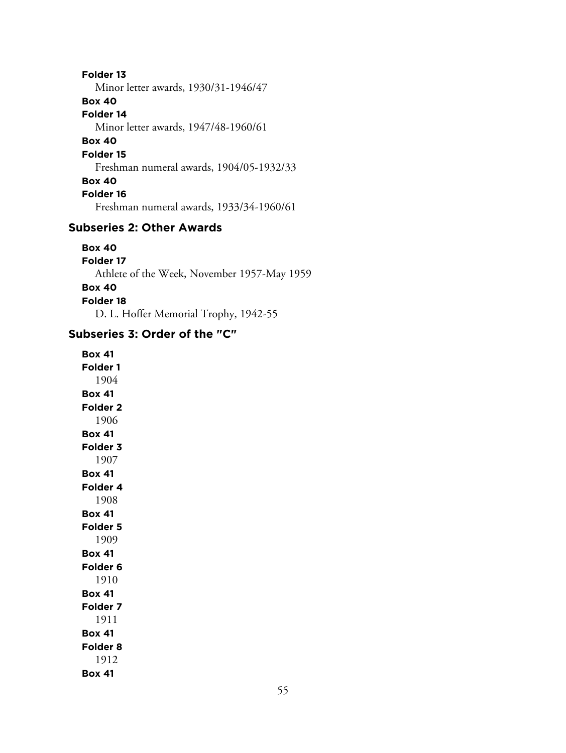**Folder 13** Minor letter awards, 1930/31-1946/47 **Box 40 Folder 14** Minor letter awards, 1947/48-1960/61 **Box 40 Folder 15** Freshman numeral awards, 1904/05-1932/33 **Box 40 Folder 16** Freshman numeral awards, 1933/34-1960/61

## **Subseries 2: Other Awards**

**Box 40 Folder 17** Athlete of the Week, November 1957-May 1959 **Box 40 Folder 18** D. L. Hoffer Memorial Trophy, 1942-55

# **Subseries 3: Order of the "C"**

**Box 41 Folder 1** 1904 **Box 41 Folder 2** 1906 **Box 41 Folder 3** 1907 **Box 41 Folder 4** 1908 **Box 41 Folder 5** 1909 **Box 41 Folder 6** 1910 **Box 41 Folder 7** 1911 **Box 41 Folder 8** 1912 **Box 41**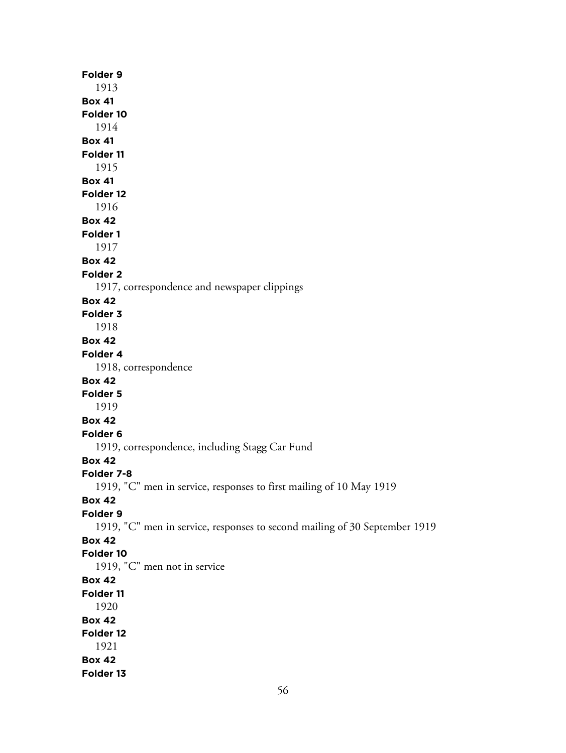| Folder 9                                                                   |
|----------------------------------------------------------------------------|
| 1913                                                                       |
| <b>Box 41</b>                                                              |
| Folder 10                                                                  |
| 1914                                                                       |
| <b>Box 41</b>                                                              |
| Folder 11                                                                  |
| 1915<br><b>Box 41</b>                                                      |
| Folder <sub>12</sub>                                                       |
| 1916                                                                       |
| <b>Box 42</b>                                                              |
| Folder 1                                                                   |
| 1917                                                                       |
| <b>Box 42</b>                                                              |
| <b>Folder 2</b>                                                            |
| 1917, correspondence and newspaper clippings                               |
| <b>Box 42</b>                                                              |
| Folder 3                                                                   |
| 1918                                                                       |
| <b>Box 42</b>                                                              |
| Folder 4                                                                   |
| 1918, correspondence                                                       |
| <b>Box 42</b>                                                              |
| Folder 5                                                                   |
| 1919                                                                       |
| <b>Box 42</b>                                                              |
| Folder <sub>6</sub>                                                        |
| 1919, correspondence, including Stagg Car Fund                             |
| <b>Box 42</b>                                                              |
| Folder 7-8                                                                 |
| 1919, "C" men in service, responses to first mailing of 10 May 1919        |
| <b>Box 42</b><br>Folder 9                                                  |
| 1919, "C" men in service, responses to second mailing of 30 September 1919 |
| <b>Box 42</b>                                                              |
| Folder 10                                                                  |
| 1919, "C" men not in service                                               |
| <b>Box 42</b>                                                              |
| Folder 11                                                                  |
| 1920                                                                       |
| <b>Box 42</b>                                                              |
| Folder 12                                                                  |
| 1921                                                                       |
| <b>Box 42</b>                                                              |
| Folder 13                                                                  |
|                                                                            |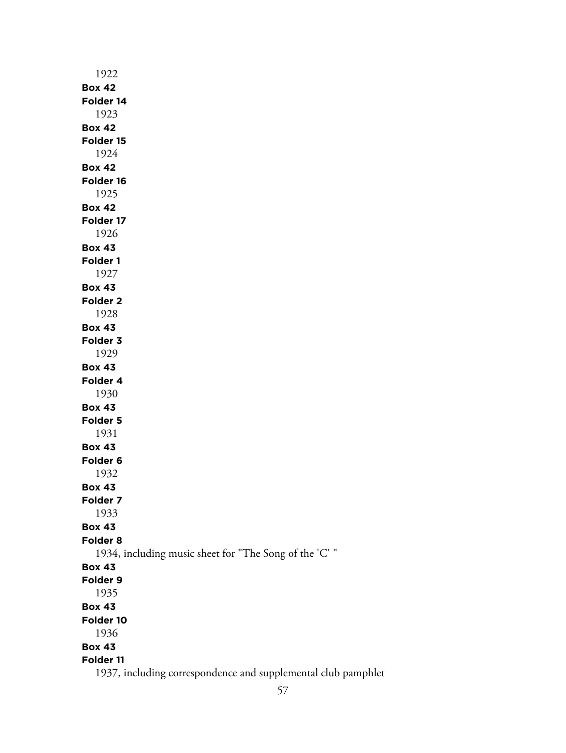| 1922                                                          |
|---------------------------------------------------------------|
| <b>Box 42</b>                                                 |
| Folder 14                                                     |
| 1923                                                          |
| <b>Box 42</b>                                                 |
| Folder 15                                                     |
| 1924                                                          |
| <b>Box 42</b>                                                 |
| Folder 16                                                     |
| 1925                                                          |
| <b>Box 42</b>                                                 |
| Folder 17                                                     |
| 1926                                                          |
| <b>Box 43</b>                                                 |
| Folder 1                                                      |
| 1927                                                          |
| <b>Box 43</b>                                                 |
| Folder <sub>2</sub>                                           |
| 1928                                                          |
| <b>Box 43</b>                                                 |
| Folder 3                                                      |
| 1929                                                          |
| <b>Box 43</b>                                                 |
| Folder 4                                                      |
| 1930                                                          |
| <b>Box 43</b>                                                 |
| Folder 5                                                      |
| 1931                                                          |
| <b>Box 43</b>                                                 |
| Folder 6                                                      |
| 1932                                                          |
| <b>Box 43</b>                                                 |
| Folder 7                                                      |
| 1933                                                          |
| <b>Box 43</b>                                                 |
| Folder <sub>8</sub>                                           |
| 1934, including music sheet for "The Song of the 'C' "        |
| <b>Box 43</b>                                                 |
| Folder 9                                                      |
| 1935                                                          |
| <b>Box 43</b>                                                 |
| Folder 10                                                     |
| 1936                                                          |
| <b>Box 43</b>                                                 |
| Folder 11                                                     |
| 1937, including correspondence and supplemental club pamphlet |
|                                                               |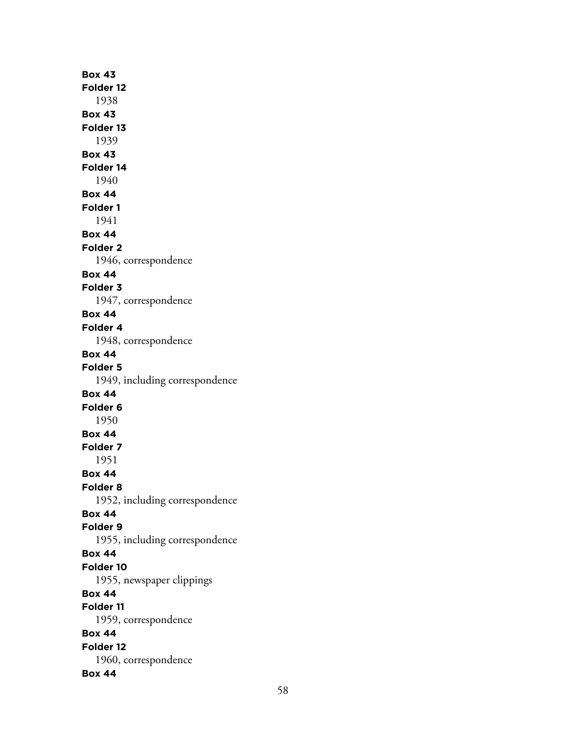**Box 43 Folder 12** 1938 **Box 43 Folder 13** 1939 **Box 43 Folder 14** 1940 **Box 44 Folder 1** 1941 **Box 44 Folder 2** 1946, correspondence **Box 44 Folder 3** 1947, correspondence **Box 44 Folder 4** 1948, correspondence **Box 44 Folder 5** 1949, including correspondence **Box 44 Folder 6** 1950 **Box 44 Folder 7** 1951 **Box 44 Folder 8** 1952, including correspondence **Box 44 Folder 9** 1955, including correspondence **Box 44 Folder 10** 1955, newspaper clippings **Box 44 Folder 11** 1959, correspondence **Box 44 Folder 12** 1960, correspondence **Box 44**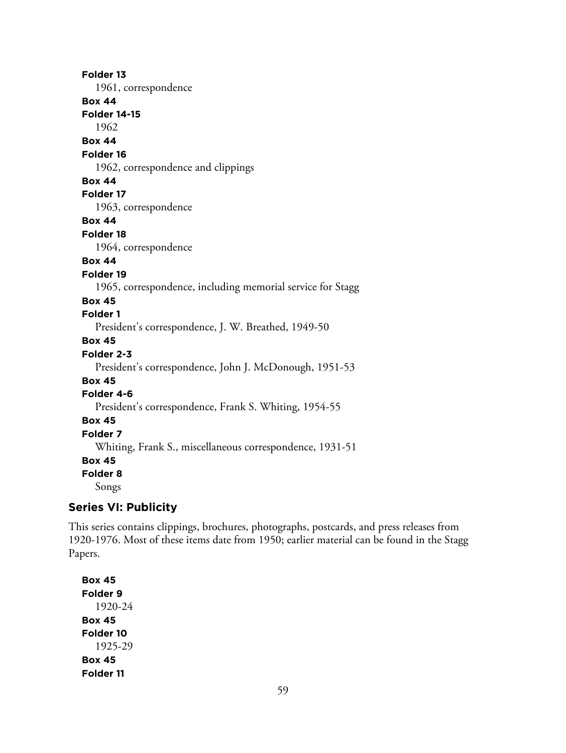**Folder 13** 1961, correspondence **Box 44 Folder 14-15** 1962 **Box 44 Folder 16** 1962, correspondence and clippings **Box 44 Folder 17** 1963, correspondence **Box 44 Folder 18** 1964, correspondence **Box 44 Folder 19** 1965, correspondence, including memorial service for Stagg **Box 45 Folder 1** President's correspondence, J. W. Breathed, 1949-50 **Box 45 Folder 2-3** President's correspondence, John J. McDonough, 1951-53 **Box 45 Folder 4-6** President's correspondence, Frank S. Whiting, 1954-55 **Box 45 Folder 7** Whiting, Frank S., miscellaneous correspondence, 1931-51 **Box 45 Folder 8** Songs

## **Series VI: Publicity**

This series contains clippings, brochures, photographs, postcards, and press releases from 1920-1976. Most of these items date from 1950; earlier material can be found in the Stagg Papers.

**Box 45 Folder 9** 1920-24 **Box 45 Folder 10** 1925-29 **Box 45 Folder 11**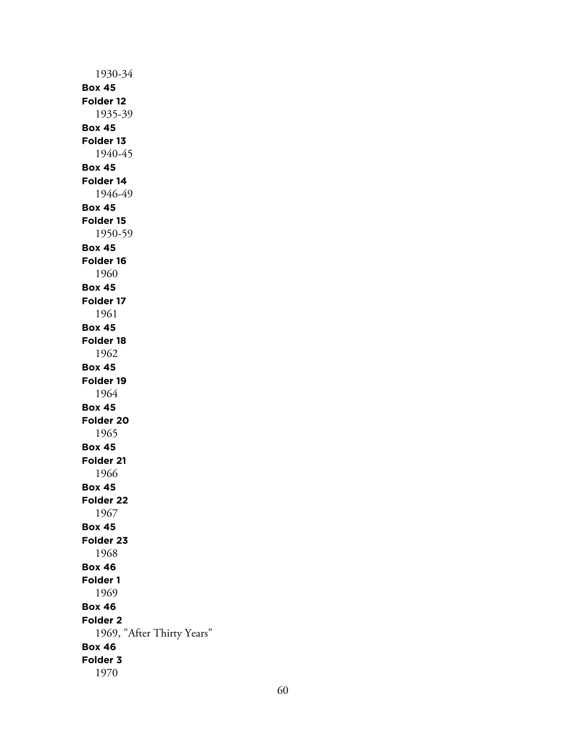1930-34 **Box 45 Folder 12** 1935-39 **Box 45 Folder 13** 1940-45 **Box 45 Folder 14** 1946-49 **Box 45 Folder 15** 1950-59 **Box 45 Folder 16** 1960 **Box 45 Folder 17** 1961 **Box 45 Folder 18** 1962 **Box 45 Folder 19** 1964 **Box 45 Folder 20** 1965 **Box 45 Folder 21** 1966 **Box 45 Folder 22** 1967 **Box 45 Folder 23** 1968 **Box 46 Folder 1** 1969 **Box 46 Folder 2** 1969, "After Thirty Years" **Box 46 Folder 3** 1970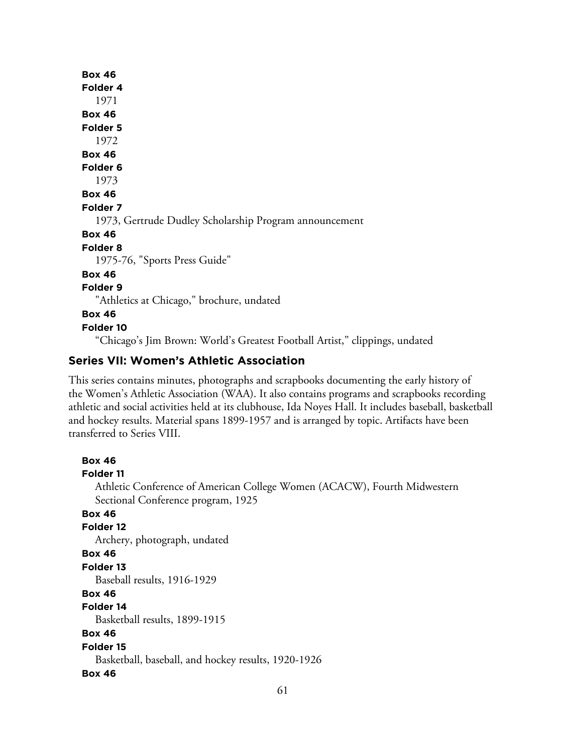**Box 46 Folder 4** 1971 **Box 46 Folder 5** 1972 **Box 46 Folder 6** 1973 **Box 46 Folder 7** 1973, Gertrude Dudley Scholarship Program announcement **Box 46 Folder 8** 1975-76, "Sports Press Guide" **Box 46 Folder 9** "Athletics at Chicago," brochure, undated **Box 46 Folder 10** "Chicago's Jim Brown: World's Greatest Football Artist," clippings, undated

## **Series VII: Women's Athletic Association**

This series contains minutes, photographs and scrapbooks documenting the early history of the Women's Athletic Association (WAA). It also contains programs and scrapbooks recording athletic and social activities held at its clubhouse, Ida Noyes Hall. It includes baseball, basketball and hockey results. Material spans 1899-1957 and is arranged by topic. Artifacts have been transferred to Series VIII.

```
Box 46
Folder 11
  Athletic Conference of American College Women (ACACW), Fourth Midwestern
  Sectional Conference program, 1925
Box 46
Folder 12
  Archery, photograph, undated
Box 46
Folder 13
   Baseball results, 1916-1929
Box 46
Folder 14
   Basketball results, 1899-1915
Box 46
Folder 15
   Basketball, baseball, and hockey results, 1920-1926
Box 46
```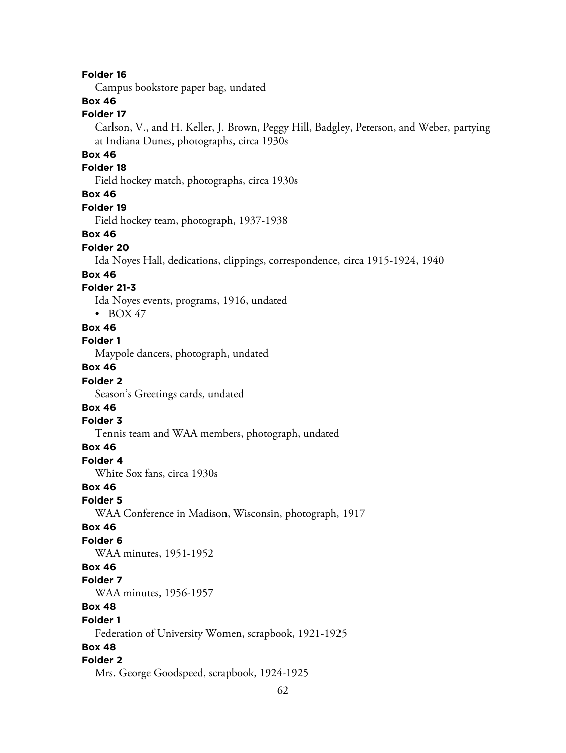#### **Folder 16**

Campus bookstore paper bag, undated

## **Box 46**

#### **Folder 17**

Carlson, V., and H. Keller, J. Brown, Peggy Hill, Badgley, Peterson, and Weber, partying at Indiana Dunes, photographs, circa 1930s

### **Box 46**

#### **Folder 18**

Field hockey match, photographs, circa 1930s

#### **Box 46**

#### **Folder 19**

Field hockey team, photograph, 1937-1938

#### **Box 46**

#### **Folder 20**

Ida Noyes Hall, dedications, clippings, correspondence, circa 1915-1924, 1940

#### **Box 46**

#### **Folder 21-3**

Ida Noyes events, programs, 1916, undated

 $\bullet$  BOX 47

# **Box 46**

**Folder 1**

Maypole dancers, photograph, undated

### **Box 46**

#### **Folder 2**

Season's Greetings cards, undated

## **Box 46**

#### **Folder 3**

Tennis team and WAA members, photograph, undated

#### **Box 46**

**Folder 4**

White Sox fans, circa 1930s

#### **Box 46**

**Folder 5**

WAA Conference in Madison, Wisconsin, photograph, 1917

#### **Box 46**

#### **Folder 6**

WAA minutes, 1951-1952

#### **Box 46**

#### **Folder 7**

WAA minutes, 1956-1957

### **Box 48**

#### **Folder 1**

Federation of University Women, scrapbook, 1921-1925

#### **Box 48**

#### **Folder 2**

Mrs. George Goodspeed, scrapbook, 1924-1925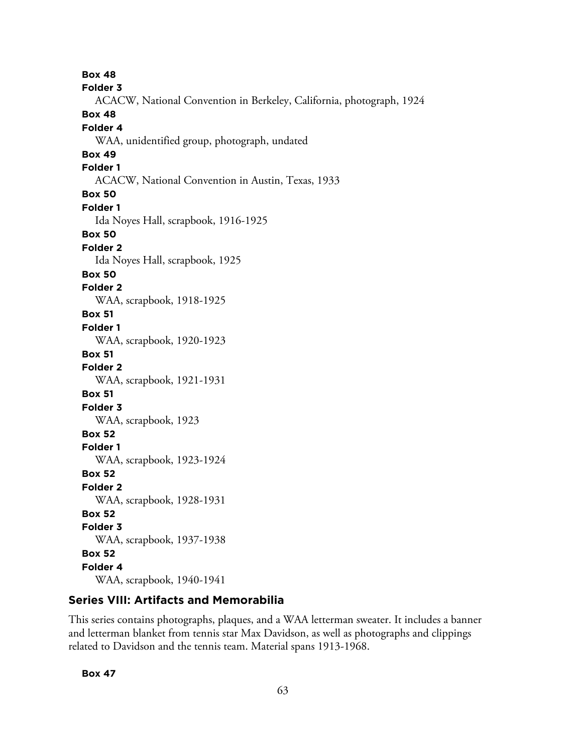**Box 48 Folder 3** ACACW, National Convention in Berkeley, California, photograph, 1924 **Box 48 Folder 4** WAA, unidentified group, photograph, undated **Box 49 Folder 1** ACACW, National Convention in Austin, Texas, 1933 **Box 50 Folder 1** Ida Noyes Hall, scrapbook, 1916-1925 **Box 50 Folder 2** Ida Noyes Hall, scrapbook, 1925 **Box 50 Folder 2** WAA, scrapbook, 1918-1925 **Box 51 Folder 1** WAA, scrapbook, 1920-1923 **Box 51 Folder 2** WAA, scrapbook, 1921-1931 **Box 51 Folder 3** WAA, scrapbook, 1923 **Box 52 Folder 1** WAA, scrapbook, 1923-1924 **Box 52 Folder 2** WAA, scrapbook, 1928-1931 **Box 52 Folder 3** WAA, scrapbook, 1937-1938 **Box 52 Folder 4** WAA, scrapbook, 1940-1941

## **Series VIII: Artifacts and Memorabilia**

This series contains photographs, plaques, and a WAA letterman sweater. It includes a banner and letterman blanket from tennis star Max Davidson, as well as photographs and clippings related to Davidson and the tennis team. Material spans 1913-1968.

**Box 47**